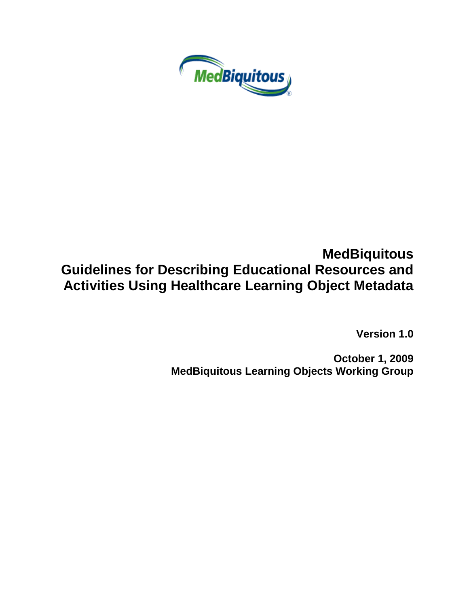

## **MedBiquitous Guidelines for Describing Educational Resources and Activities Using Healthcare Learning Object Metadata**

**Version 1.0**

**October 1, 2009 MedBiquitous Learning Objects Working Group**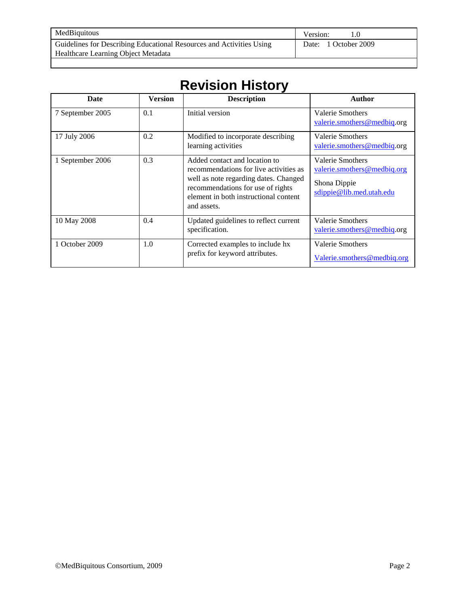| MedBiquitous                                                         | Version:             |
|----------------------------------------------------------------------|----------------------|
| Guidelines for Describing Educational Resources and Activities Using | Date: 1 October 2009 |
| Healthcare Learning Object Metadata                                  |                      |

## **Revision History**

| Date             | <b>Version</b> | <b>Description</b>                                                                                                                                                                                            | Author                                                                                      |
|------------------|----------------|---------------------------------------------------------------------------------------------------------------------------------------------------------------------------------------------------------------|---------------------------------------------------------------------------------------------|
| 7 September 2005 | 0.1            | Initial version                                                                                                                                                                                               | Valerie Smothers<br>valerie.smothers@medbiq.org                                             |
| 17 July 2006     | 0.2            | Modified to incorporate describing<br>learning activities                                                                                                                                                     | Valerie Smothers<br>valerie.smothers@medbiq.org                                             |
| 1 September 2006 | 0.3            | Added contact and location to<br>recommendations for live activities as<br>well as note regarding dates. Changed<br>recommendations for use of rights<br>element in both instructional content<br>and assets. | Valerie Smothers<br>valerie.smothers@medbiq.org<br>Shona Dippie<br>sdippie@lib.med.utah.edu |
| 10 May 2008      | 0.4            | Updated guidelines to reflect current<br>specification.                                                                                                                                                       | Valerie Smothers<br>valerie.smothers@medbiq.org                                             |
| 1 October 2009   | 1.0            | Corrected examples to include hx<br>prefix for keyword attributes.                                                                                                                                            | Valerie Smothers<br>Valerie.smothers@medbiq.org                                             |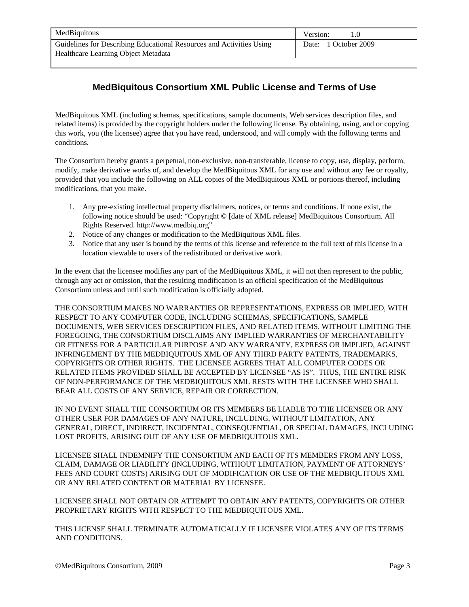| MedBiquitous                                                         | Version:             |
|----------------------------------------------------------------------|----------------------|
| Guidelines for Describing Educational Resources and Activities Using | Date: 1 October 2009 |
| Healthcare Learning Object Metadata                                  |                      |
|                                                                      |                      |

## **MedBiquitous Consortium XML Public License and Terms of Use**

MedBiquitous XML (including schemas, specifications, sample documents, Web services description files, and related items) is provided by the copyright holders under the following license. By obtaining, using, and or copying this work, you (the licensee) agree that you have read, understood, and will comply with the following terms and conditions.

The Consortium hereby grants a perpetual, non-exclusive, non-transferable, license to copy, use, display, perform, modify, make derivative works of, and develop the MedBiquitous XML for any use and without any fee or royalty, provided that you include the following on ALL copies of the MedBiquitous XML or portions thereof, including modifications, that you make.

- 1. Any pre-existing intellectual property disclaimers, notices, or terms and conditions. If none exist, the following notice should be used: "Copyright © [date of XML release] MedBiquitous Consortium. All Rights Reserved. http://www.medbiq.org"
- 2. Notice of any changes or modification to the MedBiquitous XML files.
- 3. Notice that any user is bound by the terms of this license and reference to the full text of this license in a location viewable to users of the redistributed or derivative work.

In the event that the licensee modifies any part of the MedBiquitous XML, it will not then represent to the public, through any act or omission, that the resulting modification is an official specification of the MedBiquitous Consortium unless and until such modification is officially adopted.

THE CONSORTIUM MAKES NO WARRANTIES OR REPRESENTATIONS, EXPRESS OR IMPLIED, WITH RESPECT TO ANY COMPUTER CODE, INCLUDING SCHEMAS, SPECIFICATIONS, SAMPLE DOCUMENTS, WEB SERVICES DESCRIPTION FILES, AND RELATED ITEMS. WITHOUT LIMITING THE FOREGOING, THE CONSORTIUM DISCLAIMS ANY IMPLIED WARRANTIES OF MERCHANTABILITY OR FITNESS FOR A PARTICULAR PURPOSE AND ANY WARRANTY, EXPRESS OR IMPLIED, AGAINST INFRINGEMENT BY THE MEDBIQUITOUS XML OF ANY THIRD PARTY PATENTS, TRADEMARKS, COPYRIGHTS OR OTHER RIGHTS. THE LICENSEE AGREES THAT ALL COMPUTER CODES OR RELATED ITEMS PROVIDED SHALL BE ACCEPTED BY LICENSEE "AS IS". THUS, THE ENTIRE RISK OF NON-PERFORMANCE OF THE MEDBIQUITOUS XML RESTS WITH THE LICENSEE WHO SHALL BEAR ALL COSTS OF ANY SERVICE, REPAIR OR CORRECTION.

IN NO EVENT SHALL THE CONSORTIUM OR ITS MEMBERS BE LIABLE TO THE LICENSEE OR ANY OTHER USER FOR DAMAGES OF ANY NATURE, INCLUDING, WITHOUT LIMITATION, ANY GENERAL, DIRECT, INDIRECT, INCIDENTAL, CONSEQUENTIAL, OR SPECIAL DAMAGES, INCLUDING LOST PROFITS, ARISING OUT OF ANY USE OF MEDBIQUITOUS XML.

LICENSEE SHALL INDEMNIFY THE CONSORTIUM AND EACH OF ITS MEMBERS FROM ANY LOSS, CLAIM, DAMAGE OR LIABILITY (INCLUDING, WITHOUT LIMITATION, PAYMENT OF ATTORNEYS' FEES AND COURT COSTS) ARISING OUT OF MODIFICATION OR USE OF THE MEDBIQUITOUS XML OR ANY RELATED CONTENT OR MATERIAL BY LICENSEE.

LICENSEE SHALL NOT OBTAIN OR ATTEMPT TO OBTAIN ANY PATENTS, COPYRIGHTS OR OTHER PROPRIETARY RIGHTS WITH RESPECT TO THE MEDBIQUITOUS XML.

THIS LICENSE SHALL TERMINATE AUTOMATICALLY IF LICENSEE VIOLATES ANY OF ITS TERMS AND CONDITIONS.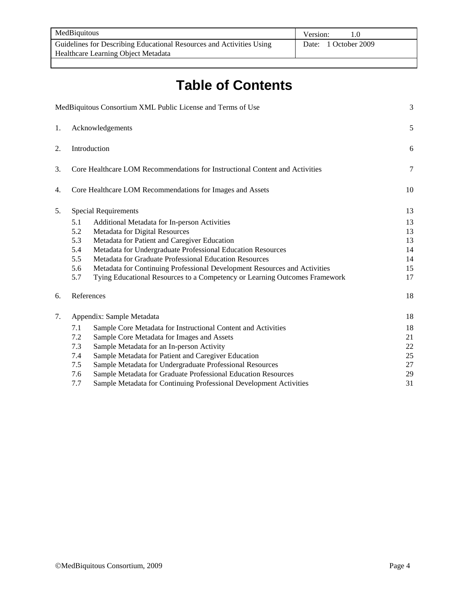| MedBiquitous                                                         | Version:             |
|----------------------------------------------------------------------|----------------------|
| Guidelines for Describing Educational Resources and Activities Using | Date: 1 October 2009 |
| Healthcare Learning Object Metadata                                  |                      |

# **Table of Contents**

|    |                  | MedBiquitous Consortium XML Public License and Terms of Use                  | 3  |
|----|------------------|------------------------------------------------------------------------------|----|
| 1. | Acknowledgements |                                                                              |    |
| 2. |                  | Introduction                                                                 | 6  |
| 3. |                  | Core Healthcare LOM Recommendations for Instructional Content and Activities | 7  |
| 4. |                  | Core Healthcare LOM Recommendations for Images and Assets                    | 10 |
| 5. |                  | <b>Special Requirements</b>                                                  | 13 |
|    | 5.1              | Additional Metadata for In-person Activities                                 | 13 |
|    | 5.2              | Metadata for Digital Resources                                               | 13 |
|    | 5.3              | Metadata for Patient and Caregiver Education                                 | 13 |
|    | 5.4              | Metadata for Undergraduate Professional Education Resources                  | 14 |
|    | 5.5              | Metadata for Graduate Professional Education Resources                       | 14 |
|    | 5.6              | Metadata for Continuing Professional Development Resources and Activities    | 15 |
|    | 5.7              | Tying Educational Resources to a Competency or Learning Outcomes Framework   | 17 |
| 6. |                  | References                                                                   | 18 |
| 7. |                  | Appendix: Sample Metadata                                                    | 18 |
|    | 7.1              | Sample Core Metadata for Instructional Content and Activities                | 18 |
|    | 7.2              | Sample Core Metadata for Images and Assets                                   | 21 |
|    | 7.3              | Sample Metadata for an In-person Activity                                    | 22 |
|    | 7.4              | Sample Metadata for Patient and Caregiver Education                          | 25 |
|    | 7.5              | Sample Metadata for Undergraduate Professional Resources                     | 27 |
|    | 7.6              | Sample Metadata for Graduate Professional Education Resources                | 29 |
|    | 7.7              | Sample Metadata for Continuing Professional Development Activities           | 31 |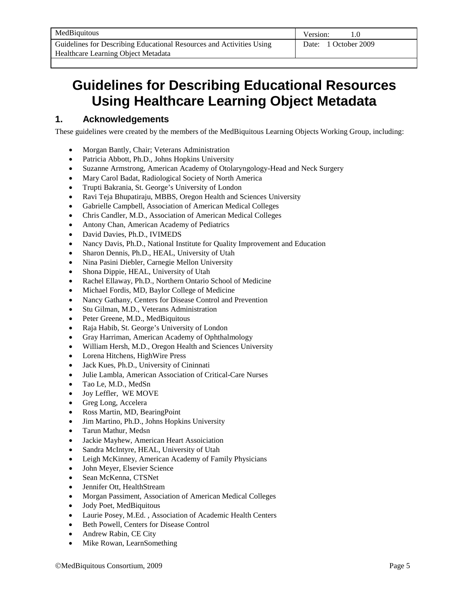## **Guidelines for Describing Educational Resources Using Healthcare Learning Object Metadata**

## **1. Acknowledgements**

These guidelines were created by the members of the MedBiquitous Learning Objects Working Group, including:

- Morgan Bantly, Chair; Veterans Administration
- Patricia Abbott, Ph.D., Johns Hopkins University
- Suzanne Armstrong, American Academy of Otolaryngology-Head and Neck Surgery
- Mary Carol Badat, Radiological Society of North America
- Trupti Bakrania, St. George's University of London
- Ravi Teja Bhupatiraju, MBBS, Oregon Health and Sciences University
- Gabrielle Campbell, Association of American Medical Colleges
- Chris Candler, M.D., Association of American Medical Colleges
- Antony Chan, American Academy of Pediatrics
- David Davies, Ph.D., IVIMEDS
- Nancy Davis, Ph.D., National Institute for Quality Improvement and Education
- Sharon Dennis, Ph.D., HEAL, University of Utah
- Nina Pasini Diebler, Carnegie Mellon University
- Shona Dippie, HEAL, University of Utah
- Rachel Ellaway, Ph.D., Northern Ontario School of Medicine
- Michael Fordis, MD, Baylor College of Medicine
- Nancy Gathany, Centers for Disease Control and Prevention
- Stu Gilman, M.D., Veterans Administration
- Peter Greene, M.D., MedBiquitous
- Raja Habib, St. George's University of London
- Gray Harriman, American Academy of Ophthalmology
- William Hersh, M.D., Oregon Health and Sciences University
- Lorena Hitchens, HighWire Press
- Jack Kues, Ph.D., University of Cininnati
- Julie Lambla, American Association of Critical-Care Nurses
- Tao Le, M.D., MedSn
- Joy Leffler, WE MOVE
- Greg Long, Accelera
- Ross Martin, MD, BearingPoint
- Jim Martino, Ph.D., Johns Hopkins University
- Tarun Mathur, Medsn
- Jackie Mayhew, American Heart Assoiciation
- Sandra McIntyre, HEAL, University of Utah
- Leigh McKinney, American Academy of Family Physicians
- John Meyer, Elsevier Science
- Sean McKenna, CTSNet
- Jennifer Ott, HealthStream
- Morgan Passiment, Association of American Medical Colleges
- Jody Poet, MedBiquitous
- Laurie Posey, M.Ed. , Association of Academic Health Centers
- Beth Powell, Centers for Disease Control
- Andrew Rabin, CE City
- Mike Rowan, LearnSomething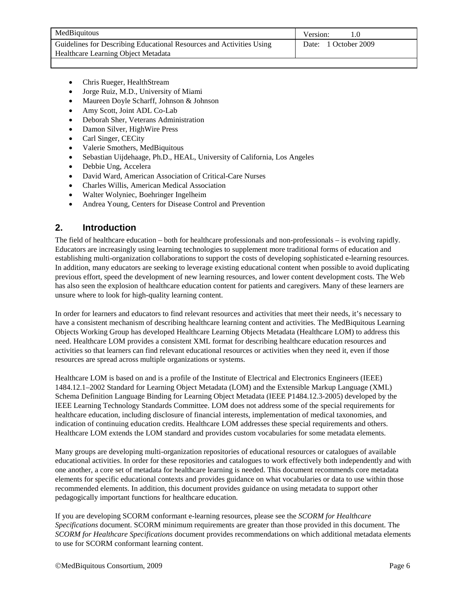| MedBiquitous                                                         | Version:             |
|----------------------------------------------------------------------|----------------------|
| Guidelines for Describing Educational Resources and Activities Using | Date: 1 October 2009 |
| Healthcare Learning Object Metadata                                  |                      |

- Chris Rueger, HealthStream
- Jorge Ruiz, M.D., University of Miami
- Maureen Doyle Scharff, Johnson & Johnson
- Amy Scott, Joint ADL Co-Lab
- Deborah Sher, Veterans Administration
- Damon Silver, HighWire Press
- Carl Singer, CECity
- Valerie Smothers, MedBiquitous
- Sebastian Uijdehaage, Ph.D., HEAL, University of California, Los Angeles
- Debbie Ung, Accelera
- David Ward, American Association of Critical-Care Nurses
- Charles Willis, American Medical Association
- Walter Wolyniec, Boehringer Ingelheim
- Andrea Young, Centers for Disease Control and Prevention

#### **2. Introduction**

The field of healthcare education – both for healthcare professionals and non-professionals – is evolving rapidly. Educators are increasingly using learning technologies to supplement more traditional forms of education and establishing multi-organization collaborations to support the costs of developing sophisticated e-learning resources. In addition, many educators are seeking to leverage existing educational content when possible to avoid duplicating previous effort, speed the development of new learning resources, and lower content development costs. The Web has also seen the explosion of healthcare education content for patients and caregivers. Many of these learners are unsure where to look for high-quality learning content.

In order for learners and educators to find relevant resources and activities that meet their needs, it's necessary to have a consistent mechanism of describing healthcare learning content and activities. The MedBiquitous Learning Objects Working Group has developed Healthcare Learning Objects Metadata (Healthcare LOM) to address this need. Healthcare LOM provides a consistent XML format for describing healthcare education resources and activities so that learners can find relevant educational resources or activities when they need it, even if those resources are spread across multiple organizations or systems.

Healthcare LOM is based on and is a profile of the Institute of Electrical and Electronics Engineers (IEEE) 1484.12.1–2002 Standard for Learning Object Metadata (LOM) and the Extensible Markup Language (XML) Schema Definition Language Binding for Learning Object Metadata (IEEE P1484.12.3-2005) developed by the IEEE Learning Technology Standards Committee. LOM does not address some of the special requirements for healthcare education, including disclosure of financial interests, implementation of medical taxonomies, and indication of continuing education credits. Healthcare LOM addresses these special requirements and others. Healthcare LOM extends the LOM standard and provides custom vocabularies for some metadata elements.

Many groups are developing multi-organization repositories of educational resources or catalogues of available educational activities. In order for these repositories and catalogues to work effectively both independently and with one another, a core set of metadata for healthcare learning is needed. This document recommends core metadata elements for specific educational contexts and provides guidance on what vocabularies or data to use within those recommended elements. In addition, this document provides guidance on using metadata to support other pedagogically important functions for healthcare education.

If you are developing SCORM conformant e-learning resources, please see the *SCORM for Healthcare Specifications* document. SCORM minimum requirements are greater than those provided in this document. The *SCORM for Healthcare Specifications* document provides recommendations on which additional metadata elements to use for SCORM conformant learning content.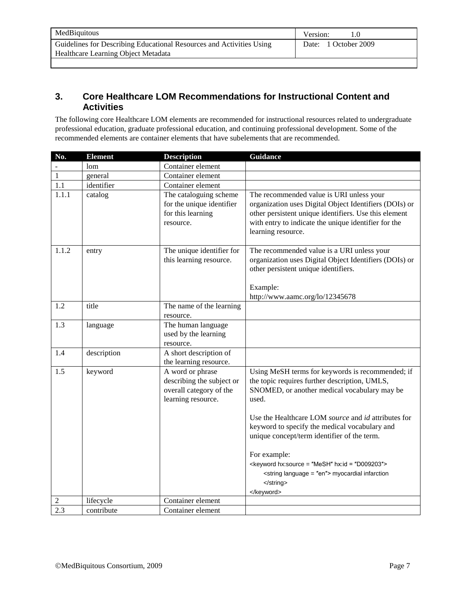| MedBiquitous                                                         | Version:             |
|----------------------------------------------------------------------|----------------------|
| Guidelines for Describing Educational Resources and Activities Using | Date: 1 October 2009 |
| Healthcare Learning Object Metadata                                  |                      |
|                                                                      |                      |

## **3. Core Healthcare LOM Recommendations for Instructional Content and Activities**

The following core Healthcare LOM elements are recommended for instructional resources related to undergraduate professional education, graduate professional education, and continuing professional development. Some of the recommended elements are container elements that have subelements that are recommended.

| No.          | <b>Element</b> | <b>Description</b>                                                                             | <b>Guidance</b>                                                                                                                                                                                                                                                                                                                                                                                                                                          |
|--------------|----------------|------------------------------------------------------------------------------------------------|----------------------------------------------------------------------------------------------------------------------------------------------------------------------------------------------------------------------------------------------------------------------------------------------------------------------------------------------------------------------------------------------------------------------------------------------------------|
|              | lom            | Container element                                                                              |                                                                                                                                                                                                                                                                                                                                                                                                                                                          |
| $\mathbf{1}$ | general        | Container element                                                                              |                                                                                                                                                                                                                                                                                                                                                                                                                                                          |
| 1.1          | identifier     | Container element                                                                              |                                                                                                                                                                                                                                                                                                                                                                                                                                                          |
| 1.1.1        | catalog        | The cataloguing scheme<br>for the unique identifier<br>for this learning<br>resource.          | The recommended value is URI unless your<br>organization uses Digital Object Identifiers (DOIs) or<br>other persistent unique identifiers. Use this element<br>with entry to indicate the unique identifier for the<br>learning resource.                                                                                                                                                                                                                |
| 1.1.2        | entry          | The unique identifier for<br>this learning resource.                                           | The recommended value is a URI unless your<br>organization uses Digital Object Identifiers (DOIs) or<br>other persistent unique identifiers.<br>Example:<br>http://www.aamc.org/lo/12345678                                                                                                                                                                                                                                                              |
| 1.2          | title          | The name of the learning<br>resource.                                                          |                                                                                                                                                                                                                                                                                                                                                                                                                                                          |
| 1.3          | language       | The human language<br>used by the learning<br>resource.                                        |                                                                                                                                                                                                                                                                                                                                                                                                                                                          |
| 1.4          | description    | A short description of<br>the learning resource.                                               |                                                                                                                                                                                                                                                                                                                                                                                                                                                          |
| 1.5          | keyword        | A word or phrase<br>describing the subject or<br>overall category of the<br>learning resource. | Using MeSH terms for keywords is recommended; if<br>the topic requires further description, UMLS,<br>SNOMED, or another medical vocabulary may be<br>used.<br>Use the Healthcare LOM source and id attributes for<br>keyword to specify the medical vocabulary and<br>unique concept/term identifier of the term.<br>For example:<br><keyword hx:id="D009203" hx:source="MeSH"><br/><string language="en"> myocardial infarction<br/></string></keyword> |
|              |                |                                                                                                |                                                                                                                                                                                                                                                                                                                                                                                                                                                          |
| 2            | lifecycle      | Container element                                                                              |                                                                                                                                                                                                                                                                                                                                                                                                                                                          |
| 2.3          | contribute     | Container element                                                                              |                                                                                                                                                                                                                                                                                                                                                                                                                                                          |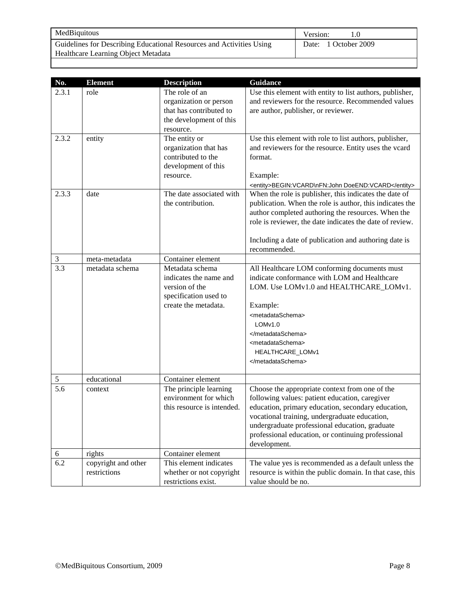| MedBiquitous                                                         | Version:             |
|----------------------------------------------------------------------|----------------------|
| Guidelines for Describing Educational Resources and Activities Using | Date: 1 October 2009 |
| Healthcare Learning Object Metadata                                  |                      |

| No.            | <b>Element</b>                      | <b>Description</b>                                                                                           | Guidance                                                                                                                                                                                                                                                                                                                        |
|----------------|-------------------------------------|--------------------------------------------------------------------------------------------------------------|---------------------------------------------------------------------------------------------------------------------------------------------------------------------------------------------------------------------------------------------------------------------------------------------------------------------------------|
| 2.3.1          | role                                | The role of an<br>organization or person<br>that has contributed to<br>the development of this<br>resource.  | Use this element with entity to list authors, publisher,<br>and reviewers for the resource. Recommended values<br>are author, publisher, or reviewer.                                                                                                                                                                           |
| 2.3.2          | entity                              | The entity or<br>organization that has<br>contributed to the<br>development of this<br>resource.             | Use this element with role to list authors, publisher,<br>and reviewers for the resource. Entity uses the vcard<br>format.<br>Example:<br><entity>BEGIN:VCARD\nFN:John DoeEND:VCARD</entity>                                                                                                                                    |
| 2.3.3          | date                                | The date associated with<br>the contribution.                                                                | When the role is publisher, this indicates the date of<br>publication. When the role is author, this indicates the<br>author completed authoring the resources. When the<br>role is reviewer, the date indicates the date of review.<br>Including a date of publication and authoring date is<br>recommended.                   |
| $\mathfrak{Z}$ | meta-metadata                       | Container element                                                                                            |                                                                                                                                                                                                                                                                                                                                 |
| 3.3            | metadata schema                     | Metadata schema<br>indicates the name and<br>version of the<br>specification used to<br>create the metadata. | All Healthcare LOM conforming documents must<br>indicate conformance with LOM and Healthcare<br>LOM. Use LOMv1.0 and HEALTHCARE_LOMv1.<br>Example:<br><metadataschema><br/>LOM<sub>v1.0</sub><br/></metadataschema><br><metadataschema><br/>HEALTHCARE_LOMv1<br/></metadataschema>                                              |
| $\sqrt{5}$     | educational                         | Container element                                                                                            |                                                                                                                                                                                                                                                                                                                                 |
| 5.6            | context                             | The principle learning<br>environment for which<br>this resource is intended.                                | Choose the appropriate context from one of the<br>following values: patient education, caregiver<br>education, primary education, secondary education,<br>vocational training, undergraduate education,<br>undergraduate professional education, graduate<br>professional education, or continuing professional<br>development. |
| 6              | rights                              | Container element                                                                                            |                                                                                                                                                                                                                                                                                                                                 |
| 6.2            | copyright and other<br>restrictions | This element indicates<br>whether or not copyright<br>restrictions exist.                                    | The value yes is recommended as a default unless the<br>resource is within the public domain. In that case, this<br>value should be no.                                                                                                                                                                                         |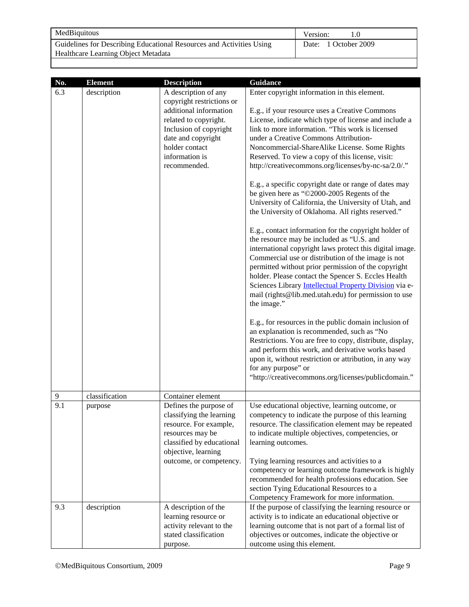| MedBiquitous                                                         | Version:             |
|----------------------------------------------------------------------|----------------------|
| Guidelines for Describing Educational Resources and Activities Using | Date: 1 October 2009 |
| Healthcare Learning Object Metadata                                  |                      |

| No. | <b>Element</b> | <b>Description</b>                                                                                                                                   | <b>Guidance</b>                                                                                                                                                                                                                                                                                                                                                                                                                                                     |
|-----|----------------|------------------------------------------------------------------------------------------------------------------------------------------------------|---------------------------------------------------------------------------------------------------------------------------------------------------------------------------------------------------------------------------------------------------------------------------------------------------------------------------------------------------------------------------------------------------------------------------------------------------------------------|
| 6.3 | description    | A description of any<br>copyright restrictions or                                                                                                    | Enter copyright information in this element.                                                                                                                                                                                                                                                                                                                                                                                                                        |
|     |                | additional information<br>related to copyright.<br>Inclusion of copyright<br>date and copyright<br>holder contact<br>information is<br>recommended.  | E.g., if your resource uses a Creative Commons<br>License, indicate which type of license and include a<br>link to more information. "This work is licensed<br>under a Creative Commons Attribution-<br>Noncommercial-ShareAlike License. Some Rights<br>Reserved. To view a copy of this license, visit:<br>http://creativecommons.org/licenses/by-nc-sa/2.0/."                                                                                                    |
|     |                |                                                                                                                                                      | E.g., a specific copyright date or range of dates may<br>be given here as "@2000-2005 Regents of the<br>University of California, the University of Utah, and<br>the University of Oklahoma. All rights reserved."                                                                                                                                                                                                                                                  |
|     |                |                                                                                                                                                      | E.g., contact information for the copyright holder of<br>the resource may be included as "U.S. and<br>international copyright laws protect this digital image.<br>Commercial use or distribution of the image is not<br>permitted without prior permission of the copyright<br>holder. Please contact the Spencer S. Eccles Health<br>Sciences Library Intellectual Property Division via e-<br>mail (rights@lib.med.utah.edu) for permission to use<br>the image." |
|     |                |                                                                                                                                                      | E.g., for resources in the public domain inclusion of<br>an explanation is recommended, such as "No<br>Restrictions. You are free to copy, distribute, display,<br>and perform this work, and derivative works based<br>upon it, without restriction or attribution, in any way<br>for any purpose" or<br>"http://creativecommons.org/licenses/publicdomain."                                                                                                       |
| 9   | classification | Container element                                                                                                                                    |                                                                                                                                                                                                                                                                                                                                                                                                                                                                     |
| 9.1 | purpose        | Defines the purpose of<br>classifying the learning<br>resource. For example,<br>resources may be<br>classified by educational<br>objective, learning | Use educational objective, learning outcome, or<br>competency to indicate the purpose of this learning<br>resource. The classification element may be repeated<br>to indicate multiple objectives, competencies, or<br>learning outcomes.                                                                                                                                                                                                                           |
|     |                | outcome, or competency.                                                                                                                              | Tying learning resources and activities to a<br>competency or learning outcome framework is highly<br>recommended for health professions education. See<br>section Tying Educational Resources to a<br>Competency Framework for more information.                                                                                                                                                                                                                   |
| 9.3 | description    | A description of the<br>learning resource or<br>activity relevant to the<br>stated classification<br>purpose.                                        | If the purpose of classifying the learning resource or<br>activity is to indicate an educational objective or<br>learning outcome that is not part of a formal list of<br>objectives or outcomes, indicate the objective or<br>outcome using this element.                                                                                                                                                                                                          |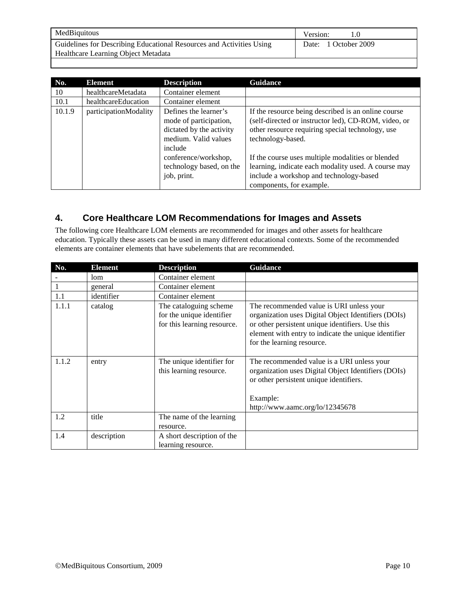| MedBiquitous                                                         | Version:             |
|----------------------------------------------------------------------|----------------------|
| Guidelines for Describing Educational Resources and Activities Using | Date: 1 October 2009 |
| Healthcare Learning Object Metadata                                  |                      |

| No.    | Element               | <b>Description</b>                                                                                             | <b>Guidance</b>                                                                                                                                                                      |
|--------|-----------------------|----------------------------------------------------------------------------------------------------------------|--------------------------------------------------------------------------------------------------------------------------------------------------------------------------------------|
| 10     | healthcareMetadata    | Container element                                                                                              |                                                                                                                                                                                      |
| 10.1   | healthcareEducation   | Container element                                                                                              |                                                                                                                                                                                      |
| 10.1.9 | participationModality | Defines the learner's<br>mode of participation,<br>dictated by the activity<br>medium. Valid values<br>include | If the resource being described is an online course<br>(self-directed or instructor led), CD-ROM, video, or<br>other resource requiring special technology, use<br>technology-based. |
|        |                       | conference/workshop,<br>technology based, on the<br>job, print.                                                | If the course uses multiple modalities or blended<br>learning, indicate each modality used. A course may<br>include a workshop and technology-based<br>components, for example.      |

## **4. Core Healthcare LOM Recommendations for Images and Assets**

The following core Healthcare LOM elements are recommended for images and other assets for healthcare education. Typically these assets can be used in many different educational contexts. Some of the recommended elements are container elements that have subelements that are recommended.

| No.   | <b>Element</b> | <b>Description</b>                                                                  | Guidance                                                                                                                                                                                                                                  |
|-------|----------------|-------------------------------------------------------------------------------------|-------------------------------------------------------------------------------------------------------------------------------------------------------------------------------------------------------------------------------------------|
|       | lom            | Container element                                                                   |                                                                                                                                                                                                                                           |
|       | general        | Container element                                                                   |                                                                                                                                                                                                                                           |
| 1.1   | identifier     | Container element                                                                   |                                                                                                                                                                                                                                           |
| 1.1.1 | catalog        | The cataloguing scheme.<br>for the unique identifier<br>for this learning resource. | The recommended value is URI unless your<br>organization uses Digital Object Identifiers (DOIs)<br>or other persistent unique identifiers. Use this<br>element with entry to indicate the unique identifier<br>for the learning resource. |
| 1.1.2 | entry          | The unique identifier for<br>this learning resource.                                | The recommended value is a URI unless your<br>organization uses Digital Object Identifiers (DOIs)<br>or other persistent unique identifiers.<br>Example:<br>http://www.aamc.org/lo/12345678                                               |
| 1.2   | title          | The name of the learning<br>resource.                                               |                                                                                                                                                                                                                                           |
| 1.4   | description    | A short description of the<br>learning resource.                                    |                                                                                                                                                                                                                                           |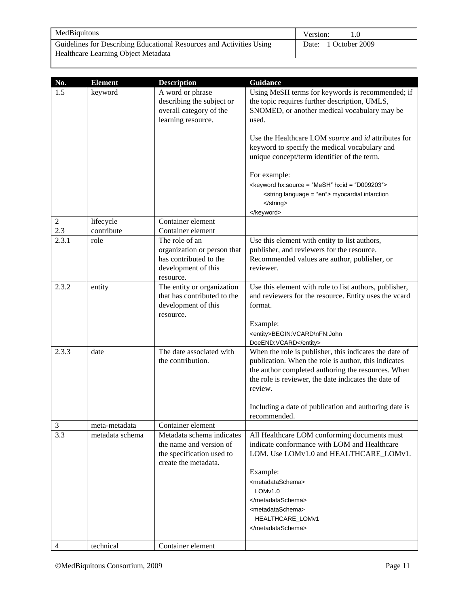| MedBiquitous                                                         | Version:             |
|----------------------------------------------------------------------|----------------------|
| Guidelines for Describing Educational Resources and Activities Using | Date: 1 October 2009 |
| Healthcare Learning Object Metadata                                  |                      |

| No.            | <b>Element</b>  | <b>Description</b>                                                                                          | <b>Guidance</b>                                                                                                                                                                                                                                                                                                                                                                                                                                                             |
|----------------|-----------------|-------------------------------------------------------------------------------------------------------------|-----------------------------------------------------------------------------------------------------------------------------------------------------------------------------------------------------------------------------------------------------------------------------------------------------------------------------------------------------------------------------------------------------------------------------------------------------------------------------|
| 1.5            | keyword         | A word or phrase<br>describing the subject or<br>overall category of the<br>learning resource.              | Using MeSH terms for keywords is recommended; if<br>the topic requires further description, UMLS,<br>SNOMED, or another medical vocabulary may be<br>used.<br>Use the Healthcare LOM <i>source</i> and <i>id</i> attributes for<br>keyword to specify the medical vocabulary and<br>unique concept/term identifier of the term.<br>For example:<br><keyword hx:id="D009203" hx:source="MeSH"><br/><string language="en"> myocardial infarction<br/></string><br/></keyword> |
| $\overline{c}$ | lifecycle       | Container element                                                                                           |                                                                                                                                                                                                                                                                                                                                                                                                                                                                             |
| 2.3            | contribute      | Container element                                                                                           |                                                                                                                                                                                                                                                                                                                                                                                                                                                                             |
| 2.3.1          | role            | The role of an<br>organization or person that<br>has contributed to the<br>development of this<br>resource. | Use this element with entity to list authors,<br>publisher, and reviewers for the resource.<br>Recommended values are author, publisher, or<br>reviewer.                                                                                                                                                                                                                                                                                                                    |
| 2.3.2          | entity          | The entity or organization<br>that has contributed to the<br>development of this<br>resource.               | Use this element with role to list authors, publisher,<br>and reviewers for the resource. Entity uses the vcard<br>format.<br>Example:<br><entity>BEGIN:VCARD\nFN:John<br/>DoeEND:VCARD</entity>                                                                                                                                                                                                                                                                            |
| 2.3.3          | date            | The date associated with<br>the contribution.                                                               | When the role is publisher, this indicates the date of<br>publication. When the role is author, this indicates<br>the author completed authoring the resources. When<br>the role is reviewer, the date indicates the date of<br>review.<br>Including a date of publication and authoring date is<br>recommended.                                                                                                                                                            |
| $\mathfrak{Z}$ | meta-metadata   | Container element                                                                                           |                                                                                                                                                                                                                                                                                                                                                                                                                                                                             |
| 3.3            | metadata schema | Metadata schema indicates<br>the name and version of<br>the specification used to<br>create the metadata.   | All Healthcare LOM conforming documents must<br>indicate conformance with LOM and Healthcare<br>LOM. Use LOMv1.0 and HEALTHCARE_LOMv1.<br>Example:<br><metadataschema><br/>LOMv1.0<br/></metadataschema><br><metadataschema><br/>HEALTHCARE_LOMv1<br/></metadataschema>                                                                                                                                                                                                     |
| 4              | technical       | Container element                                                                                           |                                                                                                                                                                                                                                                                                                                                                                                                                                                                             |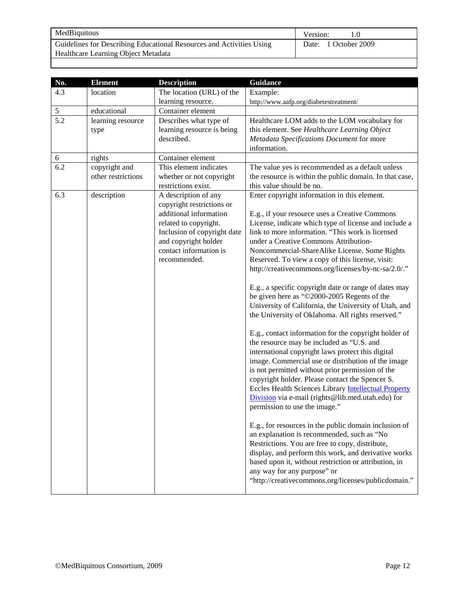| MedBiquitous                                                         | Version:             |
|----------------------------------------------------------------------|----------------------|
| Guidelines for Describing Educational Resources and Activities Using | Date: 1 October 2009 |
| Healthcare Learning Object Metadata                                  |                      |

| No. | <b>Element</b>     | <b>Description</b>          | <b>Guidance</b>                                                                                                                                                                                                                                                                                                                                                                                                                                                    |
|-----|--------------------|-----------------------------|--------------------------------------------------------------------------------------------------------------------------------------------------------------------------------------------------------------------------------------------------------------------------------------------------------------------------------------------------------------------------------------------------------------------------------------------------------------------|
| 4.3 | location           | The location (URL) of the   | Example:                                                                                                                                                                                                                                                                                                                                                                                                                                                           |
|     |                    | learning resource.          | http://www.aafp.org/diabetestreatment/                                                                                                                                                                                                                                                                                                                                                                                                                             |
| 5   | educational        | Container element           |                                                                                                                                                                                                                                                                                                                                                                                                                                                                    |
| 5.2 | learning resource  | Describes what type of      | Healthcare LOM adds to the LOM vocabulary for                                                                                                                                                                                                                                                                                                                                                                                                                      |
|     | type               | learning resource is being  | this element. See Healthcare Learning Object                                                                                                                                                                                                                                                                                                                                                                                                                       |
|     |                    | described.                  | Metadata Specifications Document for more                                                                                                                                                                                                                                                                                                                                                                                                                          |
|     |                    |                             | information.                                                                                                                                                                                                                                                                                                                                                                                                                                                       |
| 6   | rights             | Container element           |                                                                                                                                                                                                                                                                                                                                                                                                                                                                    |
| 6.2 | copyright and      | This element indicates      | The value yes is recommended as a default unless                                                                                                                                                                                                                                                                                                                                                                                                                   |
|     | other restrictions | whether or not copyright    | the resource is within the public domain. In that case,                                                                                                                                                                                                                                                                                                                                                                                                            |
|     |                    | restrictions exist.         | this value should be no.                                                                                                                                                                                                                                                                                                                                                                                                                                           |
| 6.3 | description        | A description of any        | Enter copyright information in this element.                                                                                                                                                                                                                                                                                                                                                                                                                       |
|     |                    | copyright restrictions or   |                                                                                                                                                                                                                                                                                                                                                                                                                                                                    |
|     |                    | additional information      | E.g., if your resource uses a Creative Commons                                                                                                                                                                                                                                                                                                                                                                                                                     |
|     |                    | related to copyright.       | License, indicate which type of license and include a                                                                                                                                                                                                                                                                                                                                                                                                              |
|     |                    | Inclusion of copyright date | link to more information. "This work is licensed                                                                                                                                                                                                                                                                                                                                                                                                                   |
|     |                    | and copyright holder        | under a Creative Commons Attribution-                                                                                                                                                                                                                                                                                                                                                                                                                              |
|     |                    | contact information is      | Noncommercial-ShareAlike License. Some Rights                                                                                                                                                                                                                                                                                                                                                                                                                      |
|     |                    | recommended.                | Reserved. To view a copy of this license, visit:                                                                                                                                                                                                                                                                                                                                                                                                                   |
|     |                    |                             | http://creativecommons.org/licenses/by-nc-sa/2.0/."                                                                                                                                                                                                                                                                                                                                                                                                                |
|     |                    |                             | E.g., a specific copyright date or range of dates may<br>be given here as "@2000-2005 Regents of the<br>University of California, the University of Utah, and<br>the University of Oklahoma. All rights reserved."                                                                                                                                                                                                                                                 |
|     |                    |                             | E.g., contact information for the copyright holder of<br>the resource may be included as "U.S. and<br>international copyright laws protect this digital<br>image. Commercial use or distribution of the image<br>is not permitted without prior permission of the<br>copyright holder. Please contact the Spencer S.<br>Eccles Health Sciences Library Intellectual Property<br>Division via e-mail (rights@lib.med.utah.edu) for<br>permission to use the image." |
|     |                    |                             | E.g., for resources in the public domain inclusion of<br>an explanation is recommended, such as "No<br>Restrictions. You are free to copy, distribute,<br>display, and perform this work, and derivative works<br>based upon it, without restriction or attribution, in<br>any way for any purpose" or<br>"http://creativecommons.org/licenses/publicdomain."                                                                                                      |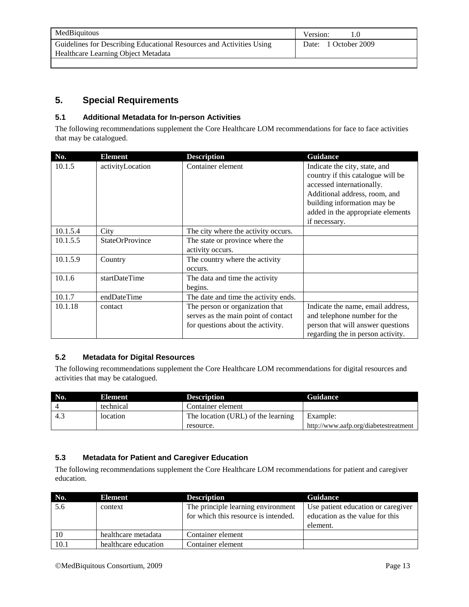| MedBiquitous                                                                                                | Version:             |
|-------------------------------------------------------------------------------------------------------------|----------------------|
| Guidelines for Describing Educational Resources and Activities Using<br>Healthcare Learning Object Metadata | Date: 1 October 2009 |

### **5. Special Requirements**

#### **5.1 Additional Metadata for In-person Activities**

The following recommendations supplement the Core Healthcare LOM recommendations for face to face activities that may be catalogued.

| No.      | <b>Element</b>         | <b>Description</b>                   | <b>Guidance</b>                   |
|----------|------------------------|--------------------------------------|-----------------------------------|
| 10.1.5   | activityLocation       | Container element                    | Indicate the city, state, and     |
|          |                        |                                      | country if this catalogue will be |
|          |                        |                                      | accessed internationally.         |
|          |                        |                                      | Additional address, room, and     |
|          |                        |                                      | building information may be       |
|          |                        |                                      | added in the appropriate elements |
|          |                        |                                      | if necessary.                     |
| 10.1.5.4 | City                   | The city where the activity occurs.  |                                   |
| 10.1.5.5 | <b>StateOrProvince</b> | The state or province where the      |                                   |
|          |                        | activity occurs.                     |                                   |
| 10.1.5.9 | Country                | The country where the activity       |                                   |
|          |                        | occurs.                              |                                   |
| 10.1.6   | startDateTime          | The data and time the activity       |                                   |
|          |                        | begins.                              |                                   |
| 10.1.7   | endDateTime            | The date and time the activity ends. |                                   |
| 10.1.18  | contact                | The person or organization that      | Indicate the name, email address, |
|          |                        | serves as the main point of contact  | and telephone number for the      |
|          |                        | for questions about the activity.    | person that will answer questions |
|          |                        |                                      | regarding the in person activity. |

#### **5.2 Metadata for Digital Resources**

The following recommendations supplement the Core Healthcare LOM recommendations for digital resources and activities that may be catalogued.

| No. | <b>Element</b> | <b>Description</b>                 | <b>Guidance</b>                       |
|-----|----------------|------------------------------------|---------------------------------------|
|     | technical      | Container element                  |                                       |
| 4.3 | location       | The location (URL) of the learning | Example:                              |
|     |                | resource.                          | http://www.aafp.org/diabetestreatment |

#### **5.3 Metadata for Patient and Caregiver Education**

The following recommendations supplement the Core Healthcare LOM recommendations for patient and caregiver education.

| No.  | <b>Element</b>       | <b>Description</b>                   | <b>Guidance</b>                    |
|------|----------------------|--------------------------------------|------------------------------------|
| 5.6  | context              | The principle learning environment   | Use patient education or caregiver |
|      |                      | for which this resource is intended. | education as the value for this    |
|      |                      |                                      | element.                           |
|      | healthcare metadata  | Container element                    |                                    |
| 10.1 | healthcare education | Container element                    |                                    |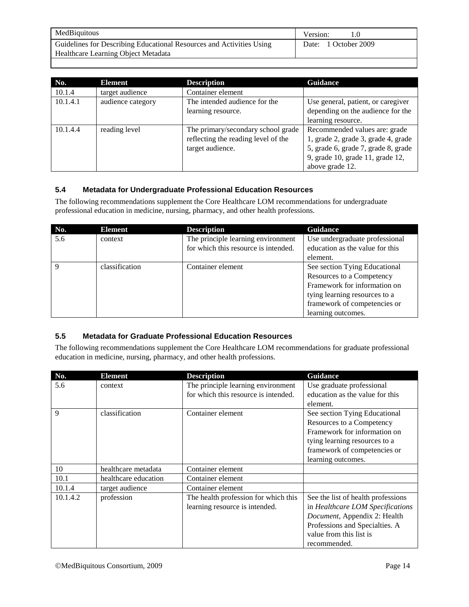| MedBiquitous                                                         | Version:             |
|----------------------------------------------------------------------|----------------------|
| Guidelines for Describing Educational Resources and Activities Using | Date: 1 October 2009 |
| <b>Healthcare Learning Object Metadata</b>                           |                      |

| No.      | Element           | <b>Description</b>                  | <b>Guidance</b>                     |
|----------|-------------------|-------------------------------------|-------------------------------------|
| 10.1.4   | target audience   | Container element                   |                                     |
| 10.1.4.1 | audience category | The intended audience for the       | Use general, patient, or caregiver  |
|          |                   | learning resource.                  | depending on the audience for the   |
|          |                   |                                     | learning resource.                  |
| 10.1.4.4 | reading level     | The primary/secondary school grade  | Recommended values are: grade       |
|          |                   | reflecting the reading level of the | 1, grade 2, grade 3, grade 4, grade |
|          |                   | target audience.                    | 5, grade 6, grade 7, grade 8, grade |
|          |                   |                                     | 9, grade 10, grade 11, grade 12,    |
|          |                   |                                     | above grade 12.                     |

#### **5.4 Metadata for Undergraduate Professional Education Resources**

The following recommendations supplement the Core Healthcare LOM recommendations for undergraduate professional education in medicine, nursing, pharmacy, and other health professions.

| No.         | <b>Element</b> | <b>Description</b>                   | <b>Guidance</b>                 |
|-------------|----------------|--------------------------------------|---------------------------------|
| 5.6         | context        | The principle learning environment   | Use undergraduate professional  |
|             |                | for which this resource is intended. | education as the value for this |
|             |                |                                      | element.                        |
| $\mathbf Q$ | classification | Container element                    | See section Tying Educational   |
|             |                |                                      | Resources to a Competency       |
|             |                |                                      | Framework for information on    |
|             |                |                                      | tying learning resources to a   |
|             |                |                                      | framework of competencies or    |
|             |                |                                      | learning outcomes.              |

#### **5.5 Metadata for Graduate Professional Education Resources**

The following recommendations supplement the Core Healthcare LOM recommendations for graduate professional education in medicine, nursing, pharmacy, and other health professions.

| No.      | <b>Element</b>       | <b>Description</b>                   | <b>Guidance</b>                    |
|----------|----------------------|--------------------------------------|------------------------------------|
| 5.6      | context              | The principle learning environment   | Use graduate professional          |
|          |                      | for which this resource is intended. | education as the value for this    |
|          |                      |                                      | element.                           |
| 9        | classification       | Container element                    | See section Tying Educational      |
|          |                      |                                      | Resources to a Competency          |
|          |                      |                                      | Framework for information on       |
|          |                      |                                      | tying learning resources to a      |
|          |                      |                                      | framework of competencies or       |
|          |                      |                                      | learning outcomes.                 |
| 10       | healthcare metadata  | Container element                    |                                    |
| 10.1     | healthcare education | Container element                    |                                    |
| 10.1.4   | target audience      | Container element                    |                                    |
| 10.1.4.2 | profession           | The health profession for which this | See the list of health professions |
|          |                      | learning resource is intended.       | in Healthcare LOM Specifications   |
|          |                      |                                      | Document, Appendix 2: Health       |
|          |                      |                                      | Professions and Specialties. A     |
|          |                      |                                      | value from this list is            |
|          |                      |                                      | recommended.                       |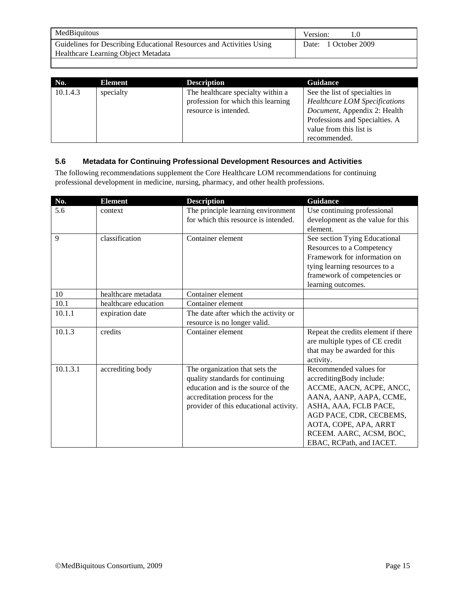| MedBiquitous                                                         | Version:             |
|----------------------------------------------------------------------|----------------------|
| Guidelines for Describing Educational Resources and Activities Using | Date: 1 October 2009 |
| Healthcare Learning Object Metadata                                  |                      |

| No.      | Element   | <b>Description</b>                 | <b>Guidance</b>                      |
|----------|-----------|------------------------------------|--------------------------------------|
| 10.1.4.3 | specialty | The healthcare specialty within a  | See the list of specialties in       |
|          |           | profession for which this learning | <b>Healthcare LOM Specifications</b> |
|          |           | resource is intended.              | Document, Appendix 2: Health         |
|          |           |                                    | Professions and Specialties. A       |
|          |           |                                    | value from this list is              |
|          |           |                                    | recommended.                         |

#### **5.6 Metadata for Continuing Professional Development Resources and Activities**

The following recommendations supplement the Core Healthcare LOM recommendations for continuing professional development in medicine, nursing, pharmacy, and other health professions.

| No.      | <b>Element</b>       | <b>Description</b>                                                                                                                                                                  | <b>Guidance</b>                                                                                                                                                                                                                               |
|----------|----------------------|-------------------------------------------------------------------------------------------------------------------------------------------------------------------------------------|-----------------------------------------------------------------------------------------------------------------------------------------------------------------------------------------------------------------------------------------------|
| 5.6      | context              | The principle learning environment<br>for which this resource is intended.                                                                                                          | Use continuing professional<br>development as the value for this<br>element.                                                                                                                                                                  |
| 9        | classification       | Container element                                                                                                                                                                   | See section Tying Educational<br>Resources to a Competency<br>Framework for information on<br>tying learning resources to a<br>framework of competencies or<br>learning outcomes.                                                             |
| 10       | healthcare metadata  | Container element                                                                                                                                                                   |                                                                                                                                                                                                                                               |
| 10.1     | healthcare education | Container element                                                                                                                                                                   |                                                                                                                                                                                                                                               |
| 10.1.1   | expiration date      | The date after which the activity or<br>resource is no longer valid.                                                                                                                |                                                                                                                                                                                                                                               |
| 10.1.3   | credits              | Container element                                                                                                                                                                   | Repeat the credits element if there<br>are multiple types of CE credit<br>that may be awarded for this<br>activity.                                                                                                                           |
| 10.1.3.1 | accrediting body     | The organization that sets the<br>quality standards for continuing<br>education and is the source of the<br>accreditation process for the<br>provider of this educational activity. | Recommended values for<br>accreditingBody include:<br>ACCME, AACN, ACPE, ANCC,<br>AANA, AANP, AAPA, CCME,<br>ASHA, AAA, FCLB PACE,<br>AGD PACE, CDR, CECBEMS,<br>AOTA, COPE, APA, ARRT<br>RCEEM. AARC, ACSM, BOC,<br>EBAC, RCPath, and IACET. |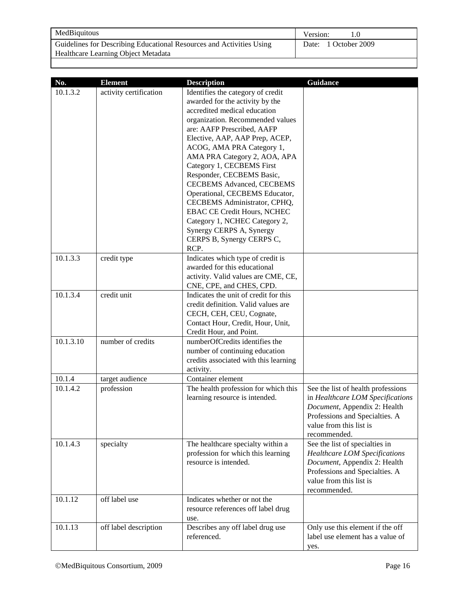| MedBiquitous                                                         | Version:             |
|----------------------------------------------------------------------|----------------------|
| Guidelines for Describing Educational Resources and Activities Using | Date: 1 October 2009 |
| Healthcare Learning Object Metadata                                  |                      |

| No.       | <b>Element</b>         | <b>Description</b>                    | <b>Guidance</b>                      |
|-----------|------------------------|---------------------------------------|--------------------------------------|
| 10.1.3.2  | activity certification | Identifies the category of credit     |                                      |
|           |                        | awarded for the activity by the       |                                      |
|           |                        | accredited medical education          |                                      |
|           |                        | organization. Recommended values      |                                      |
|           |                        | are: AAFP Prescribed, AAFP            |                                      |
|           |                        | Elective, AAP, AAP Prep, ACEP,        |                                      |
|           |                        | ACOG, AMA PRA Category 1,             |                                      |
|           |                        | AMA PRA Category 2, AOA, APA          |                                      |
|           |                        | Category 1, CECBEMS First             |                                      |
|           |                        | Responder, CECBEMS Basic,             |                                      |
|           |                        | <b>CECBEMS Advanced, CECBEMS</b>      |                                      |
|           |                        | Operational, CECBEMS Educator,        |                                      |
|           |                        | CECBEMS Administrator, CPHQ,          |                                      |
|           |                        | <b>EBAC CE Credit Hours, NCHEC</b>    |                                      |
|           |                        | Category 1, NCHEC Category 2,         |                                      |
|           |                        | Synergy CERPS A, Synergy              |                                      |
|           |                        | CERPS B, Synergy CERPS C,             |                                      |
|           |                        | RCP.                                  |                                      |
| 10.1.3.3  | credit type            | Indicates which type of credit is     |                                      |
|           |                        | awarded for this educational          |                                      |
|           |                        | activity. Valid values are CME, CE,   |                                      |
|           |                        | CNE, CPE, and CHES, CPD.              |                                      |
| 10.1.3.4  | credit unit            | Indicates the unit of credit for this |                                      |
|           |                        | credit definition. Valid values are   |                                      |
|           |                        | CECH, CEH, CEU, Cognate,              |                                      |
|           |                        | Contact Hour, Credit, Hour, Unit,     |                                      |
|           |                        | Credit Hour, and Point.               |                                      |
| 10.1.3.10 | number of credits      | numberOfCredits identifies the        |                                      |
|           |                        | number of continuing education        |                                      |
|           |                        | credits associated with this learning |                                      |
| 10.1.4    | target audience        | activity.<br>Container element        |                                      |
| 10.1.4.2  | profession             | The health profession for which this  | See the list of health professions   |
|           |                        | learning resource is intended.        | in Healthcare LOM Specifications     |
|           |                        |                                       | Document, Appendix 2: Health         |
|           |                        |                                       | Professions and Specialties. A       |
|           |                        |                                       | value from this list is              |
|           |                        |                                       | recommended.                         |
| 10.1.4.3  | specialty              | The healthcare specialty within a     | See the list of specialties in       |
|           |                        | profession for which this learning    | <b>Healthcare LOM Specifications</b> |
|           |                        | resource is intended.                 | Document, Appendix 2: Health         |
|           |                        |                                       | Professions and Specialties. A       |
|           |                        |                                       | value from this list is              |
|           |                        |                                       | recommended.                         |
| 10.1.12   | off label use          | Indicates whether or not the          |                                      |
|           |                        | resource references off label drug    |                                      |
|           |                        | use.                                  |                                      |
| 10.1.13   | off label description  | Describes any off label drug use      | Only use this element if the off     |
|           |                        | referenced.                           | label use element has a value of     |
|           |                        |                                       | yes.                                 |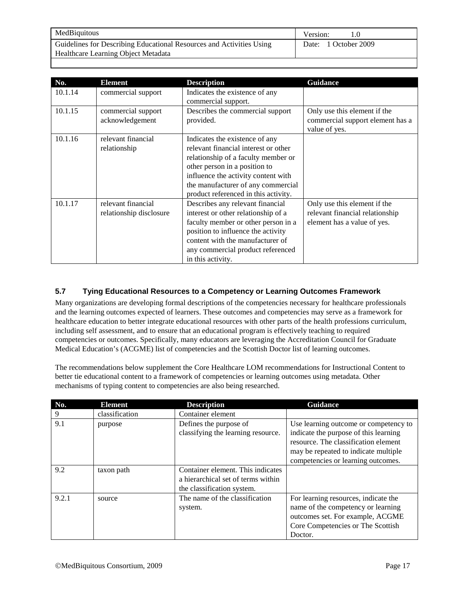| MedBiquitous                                                         | Version:             |
|----------------------------------------------------------------------|----------------------|
| Guidelines for Describing Educational Resources and Activities Using | Date: 1 October 2009 |
| Healthcare Learning Object Metadata                                  |                      |

| No.     | <b>Element</b>                                | <b>Description</b>                                                                                                                                                                                                                                                  | <b>Guidance</b>                                                                                |
|---------|-----------------------------------------------|---------------------------------------------------------------------------------------------------------------------------------------------------------------------------------------------------------------------------------------------------------------------|------------------------------------------------------------------------------------------------|
| 10.1.14 | commercial support                            | Indicates the existence of any<br>commercial support.                                                                                                                                                                                                               |                                                                                                |
| 10.1.15 | commercial support<br>acknowledgement         | Describes the commercial support<br>provided.                                                                                                                                                                                                                       | Only use this element if the<br>commercial support element has a<br>value of yes.              |
| 10.1.16 | relevant financial<br>relationship            | Indicates the existence of any<br>relevant financial interest or other<br>relationship of a faculty member or<br>other person in a position to<br>influence the activity content with<br>the manufacturer of any commercial<br>product referenced in this activity. |                                                                                                |
| 10.1.17 | relevant financial<br>relationship disclosure | Describes any relevant financial<br>interest or other relationship of a<br>faculty member or other person in a<br>position to influence the activity<br>content with the manufacturer of<br>any commercial product referenced<br>in this activity.                  | Only use this element if the<br>relevant financial relationship<br>element has a value of yes. |

#### **5.7 Tying Educational Resources to a Competency or Learning Outcomes Framework**

Many organizations are developing formal descriptions of the competencies necessary for healthcare professionals and the learning outcomes expected of learners. These outcomes and competencies may serve as a framework for healthcare education to better integrate educational resources with other parts of the health professions curriculum, including self assessment, and to ensure that an educational program is effectively teaching to required competencies or outcomes. Specifically, many educators are leveraging the Accreditation Council for Graduate Medical Education's (ACGME) list of competencies and the Scottish Doctor list of learning outcomes.

The recommendations below supplement the Core Healthcare LOM recommendations for Instructional Content to better tie educational content to a framework of competencies or learning outcomes using metadata. Other mechanisms of typing content to competencies are also being researched.

| No.   | <b>Element</b> | <b>Description</b>                 | <b>Guidance</b>                       |
|-------|----------------|------------------------------------|---------------------------------------|
| 9     | classification | Container element                  |                                       |
| 9.1   | purpose        | Defines the purpose of             | Use learning outcome or competency to |
|       |                | classifying the learning resource. | indicate the purpose of this learning |
|       |                |                                    | resource. The classification element  |
|       |                |                                    | may be repeated to indicate multiple  |
|       |                |                                    | competencies or learning outcomes.    |
| 9.2   | taxon path     | Container element. This indicates  |                                       |
|       |                | a hierarchical set of terms within |                                       |
|       |                | the classification system.         |                                       |
| 9.2.1 | source         | The name of the classification     | For learning resources, indicate the  |
|       |                | system.                            | name of the competency or learning    |
|       |                |                                    | outcomes set. For example, ACGME      |
|       |                |                                    | Core Competencies or The Scottish     |
|       |                |                                    | Doctor.                               |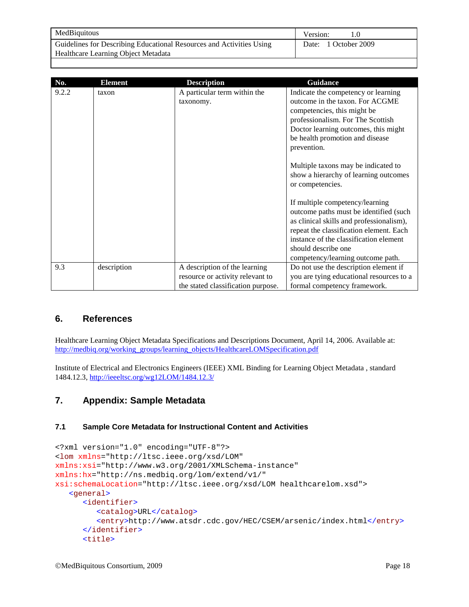| MedBiquitous                                                         | Version:             |
|----------------------------------------------------------------------|----------------------|
| Guidelines for Describing Educational Resources and Activities Using | Date: 1 October 2009 |
| Healthcare Learning Object Metadata                                  |                      |

| No.   | <b>Element</b> | <b>Description</b>                                                                                      | Guidance                                                                                                                                                                                                                             |
|-------|----------------|---------------------------------------------------------------------------------------------------------|--------------------------------------------------------------------------------------------------------------------------------------------------------------------------------------------------------------------------------------|
| 9.2.2 | taxon          | A particular term within the<br>taxonomy.                                                               | Indicate the competency or learning<br>outcome in the taxon. For ACGME<br>competencies, this might be<br>professionalism. For The Scottish<br>Doctor learning outcomes, this might<br>be health promotion and disease<br>prevention. |
|       |                |                                                                                                         | Multiple taxons may be indicated to<br>show a hierarchy of learning outcomes<br>or competencies.                                                                                                                                     |
|       |                |                                                                                                         | If multiple competency/learning<br>outcome paths must be identified (such<br>as clinical skills and professionalism),<br>repeat the classification element. Each                                                                     |
|       |                |                                                                                                         | instance of the classification element<br>should describe one<br>competency/learning outcome path.                                                                                                                                   |
| 9.3   | description    | A description of the learning<br>resource or activity relevant to<br>the stated classification purpose. | Do not use the description element if<br>you are tying educational resources to a<br>formal competency framework.                                                                                                                    |

#### **6. References**

Healthcare Learning Object Metadata Specifications and Descriptions Document, April 14, 2006. Available at: [http://medbiq.org/working\\_groups/learning\\_objects/HealthcareLOMSpecification.pdf](http://medbiq.org/working_groups/learning_objects/HealthcareLOMSpecification.pdf)

Institute of Electrical and Electronics Engineers (IEEE) XML Binding for Learning Object Metadata , standard 1484.12.3,<http://ieeeltsc.org/wg12LOM/1484.12.3/>

#### **7. Appendix: Sample Metadata**

#### **7.1 Sample Core Metadata for Instructional Content and Activities**

```
<?xml version="1.0" encoding="UTF-8"?>
<lom xmlns="http://ltsc.ieee.org/xsd/LOM"
xmlns:xsi="http://www.w3.org/2001/XMLSchema-instance"
xmlns:hx="http://ns.medbiq.org/lom/extend/v1/"
xsi:schemaLocation="http://ltsc.ieee.org/xsd/LOM healthcarelom.xsd">
   <general>
      <identifier>
         <catalog>URL</catalog>
         <entry>http://www.atsdr.cdc.gov/HEC/CSEM/arsenic/index.html</entry>
      </identifier>
      <title>
```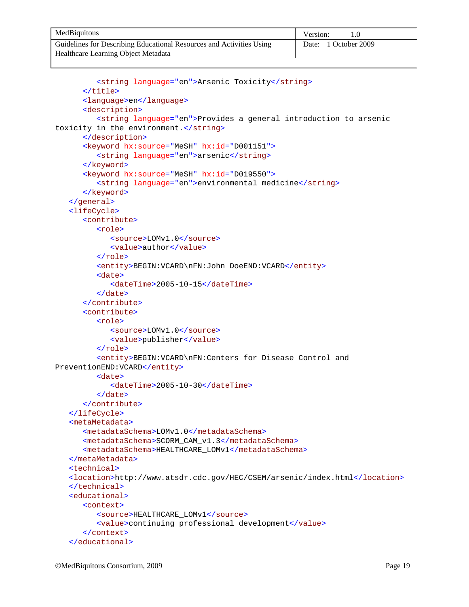| MedBiquitous                                                         | Version:             |
|----------------------------------------------------------------------|----------------------|
| Guidelines for Describing Educational Resources and Activities Using | Date: 1 October 2009 |
| Healthcare Learning Object Metadata                                  |                      |

```
<string language="en">Arsenic Toxicity</string>
      </title>
      <language>en</language>
      <description>
         <string language="en">Provides a general introduction to arsenic 
toxicity in the environment.</string>
      </description>
      <keyword hx:source="MeSH" hx:id="D001151">
         <string language="en">arsenic</string>
      </keyword>
      <keyword hx:source="MeSH" hx:id="D019550">
         <string language="en">environmental medicine</string>
      </keyword>
   </general>
   <lifeCycle>
      <contribute>
         <role>
            <source>LOMv1.0</source>
            <value>author</value>
         </role>
         <entity>BEGIN:VCARD\nFN:John DoeEND:VCARD</entity>
         <date>
            <dateTime>2005-10-15</dateTime>
         </date>
      </contribute>
      <contribute>
         <role>
            <source>LOMv1.0</source>
            <value>publisher</value>
         </role>
         <entity>BEGIN:VCARD\nFN:Centers for Disease Control and
PreventionEND:VCARD</entity>
         <date>
            <dateTime>2005-10-30</dateTime>
         </date>
      </contribute>
   </lifeCycle>
   <metaMetadata>
      <metadataSchema>LOMv1.0</metadataSchema>
      <metadataSchema>SCORM_CAM_v1.3</metadataSchema>
      <metadataSchema>HEALTHCARE_LOMv1</metadataSchema>
   </metaMetadata>
   <technical>
   <location>http://www.atsdr.cdc.gov/HEC/CSEM/arsenic/index.html</location>
   </technical>
   <educational>
      <context>
         <source>HEALTHCARE_LOMv1</source>
         <value>continuing professional development</value>
      </context>
   </educational>
```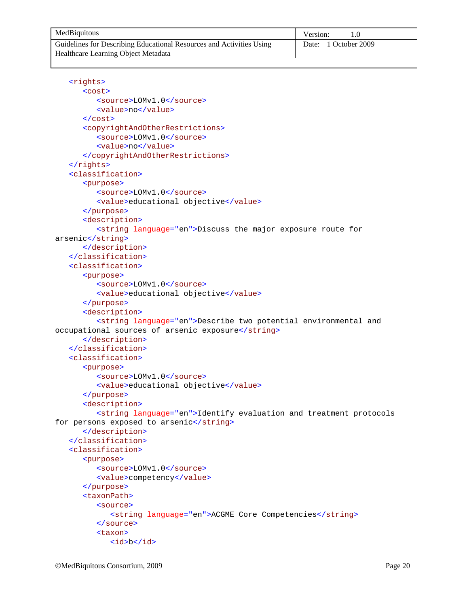| MedBiquitous                                                         | Version:             |
|----------------------------------------------------------------------|----------------------|
| Guidelines for Describing Educational Resources and Activities Using | Date: 1 October 2009 |
| Healthcare Learning Object Metadata                                  |                      |

```
<rights>
      <cost>
         <source>LOMv1.0</source>
         <value>no</value>
      </cost>
      <copyrightAndOtherRestrictions>
         <source>LOMv1.0</source>
         <value>no</value>
      </copyrightAndOtherRestrictions>
   \langlerights>
   <classification>
      <purpose>
         <source>LOMv1.0</source>
         <value>educational objective</value>
      </purpose>
      <description>
         <string language="en">Discuss the major exposure route for 
arsenic</string>
      </description>
   </classification>
   <classification>
      <purpose>
         <source>LOMv1.0</source>
         <value>educational objective</value>
      </purpose>
      <description>
         <string language="en">Describe two potential environmental and 
occupational sources of arsenic exposure</string>
      </description>
   </classification>
   <classification>
      <purpose>
         <source>LOMv1.0</source>
         <value>educational objective</value>
      </purpose>
      <description>
         <string language="en">Identify evaluation and treatment protocols 
for persons exposed to arsenic</string>
      </description>
   </classification>
   <classification>
      <purpose>
         <source>LOMv1.0</source>
         <value>competency</value>
      </purpose>
      <taxonPath>
         <source>
            <string language="en">ACGME Core Competencies</string>
         </source>
         <taxon>
            <id>b</id>
```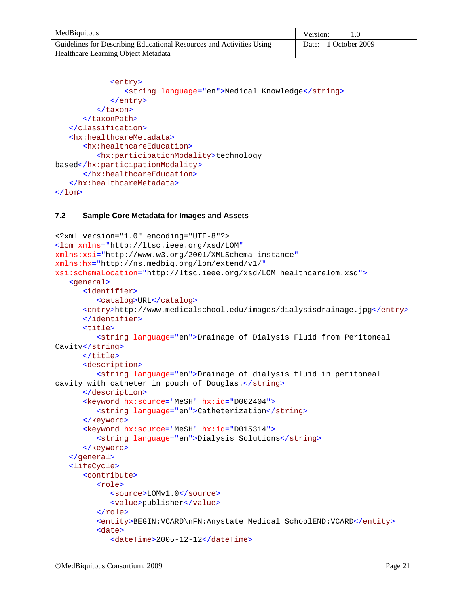| MedBiquitous                                                         | Version:             |
|----------------------------------------------------------------------|----------------------|
| Guidelines for Describing Educational Resources and Activities Using | Date: 1 October 2009 |
| Healthcare Learning Object Metadata                                  |                      |

```
<entry>
                <string language="en">Medical Knowledge</string>
             </entry>
         </taxon>
      </taxonPath>
   </classification>
   <hx:healthcareMetadata>
      <hx:healthcareEducation>
         <hx:participationModality>technology 
based</hx:participationModality>
      </hx:healthcareEducation>
   </hx:healthcareMetadata>
\langlelom\rangle
```
#### **7.2 Sample Core Metadata for Images and Assets**

```
<?xml version="1.0" encoding="UTF-8"?>
<lom xmlns="http://ltsc.ieee.org/xsd/LOM"
xmlns:xsi="http://www.w3.org/2001/XMLSchema-instance"
xmlns:hx="http://ns.medbiq.org/lom/extend/v1/" 
xsi:schemaLocation="http://ltsc.ieee.org/xsd/LOM healthcarelom.xsd">
   <general>
      <identifier>
         <catalog>URL</catalog>
      <entry>http://www.medicalschool.edu/images/dialysisdrainage.jpg</entry>
      </identifier>
      <title>
         <string language="en">Drainage of Dialysis Fluid from Peritoneal 
Cavity</string>
      </title>
      <description>
         <string language="en">Drainage of dialysis fluid in peritoneal 
cavity with catheter in pouch of Douglas.</string>
      </description>
      <keyword hx:source="MeSH" hx:id="D002404">
         <string language="en">Catheterization</string>
      </keyword>
      <keyword hx:source="MeSH" hx:id="D015314">
         <string language="en">Dialysis Solutions</string>
      </keyword>
   </general>
   <lifeCycle>
      <contribute>
         <role>
            <source>LOMv1.0</source>
            <value>publisher</value>
         </role>
         <entity>BEGIN:VCARD\nFN:Anystate Medical SchoolEND:VCARD</entity>
         <date>
            <dateTime>2005-12-12</dateTime>
```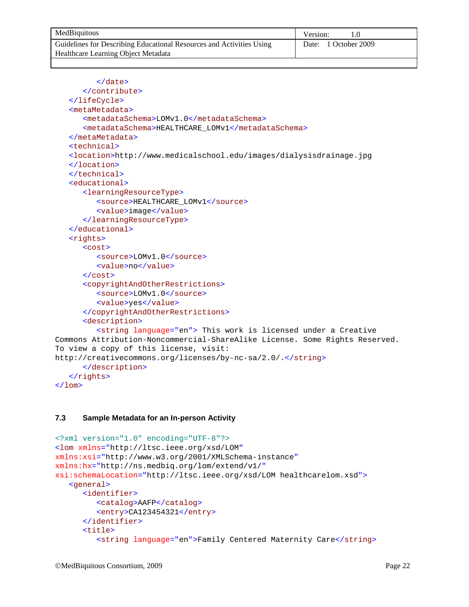| MedBiquitous                                                         | Version:             |
|----------------------------------------------------------------------|----------------------|
| Guidelines for Describing Educational Resources and Activities Using | Date: 1 October 2009 |
| Healthcare Learning Object Metadata                                  |                      |

```
</date>
      </contribute>
   </lifeCycle>
   <metaMetadata>
      <metadataSchema>LOMv1.0</metadataSchema>
      <metadataSchema>HEALTHCARE_LOMv1</metadataSchema>
   </metaMetadata>
   <technical>
   <location>http://www.medicalschool.edu/images/dialysisdrainage.jpg 
    </location>
   </technical>
   <educational>
      <learningResourceType>
         <source>HEALTHCARE_LOMv1</source>
         <value>image</value>
      </learningResourceType>
   </educational>
   <rights>
      <cost>
         <source>LOMv1.0</source>
         <value>no</value>
      </cost>
      <copyrightAndOtherRestrictions>
         <source>LOMv1.0</source>
         <value>yes</value>
      </copyrightAndOtherRestrictions>
      <description>
         <string language="en"> This work is licensed under a Creative 
Commons Attribution-Noncommercial-ShareAlike License. Some Rights Reserved. 
To view a copy of this license, visit: 
http://creativecommons.org/licenses/by-nc-sa/2.0/.</string>
      </description>
   </rights>
\langlelom\rangle
```
#### **7.3 Sample Metadata for an In-person Activity**

```
<?xml version="1.0" encoding="UTF-8"?>
<lom xmlns="http://ltsc.ieee.org/xsd/LOM"
xmlns:xsi="http://www.w3.org/2001/XMLSchema-instance"
xmlns:hx="http://ns.medbiq.org/lom/extend/v1/"
xsi:schemaLocation="http://ltsc.ieee.org/xsd/LOM healthcarelom.xsd">
   <general>
      <identifier>
         <catalog>AAFP</catalog>
         <entry>CA123454321</entry>
      </identifier>
      <title>
         <string language="en">Family Centered Maternity Care</string>
```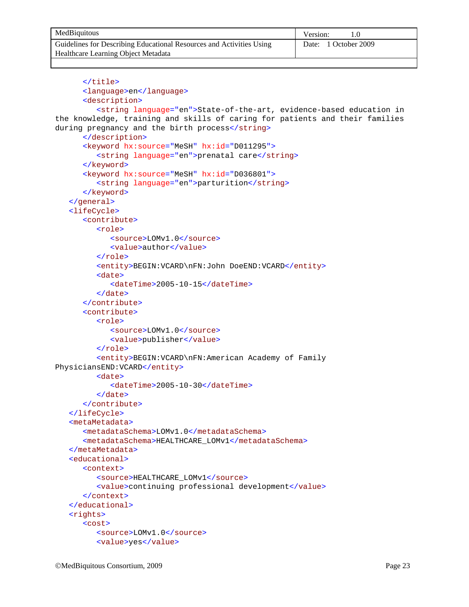| MedBiquitous                                                         | Version:             |
|----------------------------------------------------------------------|----------------------|
| Guidelines for Describing Educational Resources and Activities Using | Date: 1 October 2009 |
| Healthcare Learning Object Metadata                                  |                      |

```
</title>
      <language>en</language>
      <description>
         <string language="en">State-of-the-art, evidence-based education in 
the knowledge, training and skills of caring for patients and their families 
during pregnancy and the birth process</string>
      </description>
      <keyword hx:source="MeSH" hx:id="D011295">
         <string language="en">prenatal care</string>
      </keyword>
      <keyword hx:source="MeSH" hx:id="D036801">
         <string language="en">parturition</string>
      </keyword>
   </general>
   <lifeCycle>
      <contribute>
         <role>
            <source>LOMv1.0</source>
            <value>author</value>
         </role>
         <entity>BEGIN:VCARD\nFN:John DoeEND:VCARD</entity>
         <date>
            <dateTime>2005-10-15</dateTime>
         </date>
      </contribute>
      <contribute>
         <role>
            <source>LOMv1.0</source>
            <value>publisher</value>
         </role>
         <entity>BEGIN:VCARD\nFN:American Academy of Family 
PhysiciansEND:VCARD</entity>
         <date>
            <dateTime>2005-10-30</dateTime>
         </date>
      </contribute>
   </lifeCycle>
   <metaMetadata>
      <metadataSchema>LOMv1.0</metadataSchema>
      <metadataSchema>HEALTHCARE_LOMv1</metadataSchema>
   </metaMetadata>
   <educational>
      <context>
         <source>HEALTHCARE_LOMv1</source>
         <value>continuing professional development</value>
      </context>
   </educational>
   <rights>
      <cost>
         <source>LOMv1.0</source>
         <value>yes</value>
```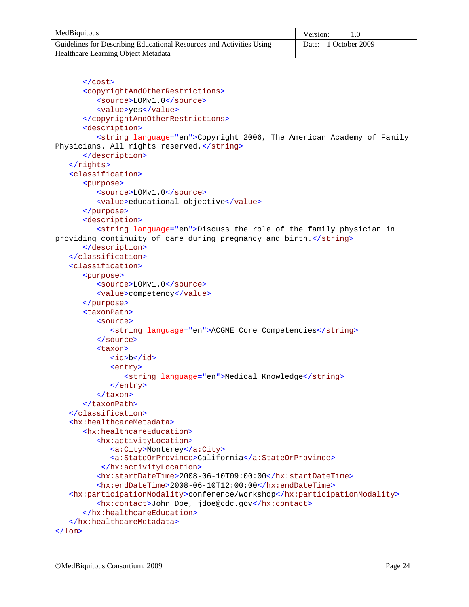| MedBiquitous                                                         | Version:             |
|----------------------------------------------------------------------|----------------------|
| Guidelines for Describing Educational Resources and Activities Using | Date: 1 October 2009 |
| Healthcare Learning Object Metadata                                  |                      |

```
</cost>
      <copyrightAndOtherRestrictions>
         <source>LOMv1.0</source>
         <value>yes</value>
      </copyrightAndOtherRestrictions>
      <description>
         <string language="en">Copyright 2006, The American Academy of Family 
Physicians. All rights reserved.</string>
      </description>
   \langlerights>
   <classification>
      <purpose>
         <source>LOMv1.0</source>
         <value>educational objective</value>
      </purpose>
      <description>
         <string language="en">Discuss the role of the family physician in 
providing continuity of care during pregnancy and birth.</string>
      </description>
   </classification>
   <classification>
      <purpose>
         <source>LOMv1.0</source>
         <value>competency</value>
      </purpose>
      <taxonPath>
         <source>
            <string language="en">ACGME Core Competencies</string>
         </source>
         <taxon>
            <id>b</id>
            <entry>
               <string language="en">Medical Knowledge</string>
            </entry>
         </taxon>
      </taxonPath>
   </classification>
   <hx:healthcareMetadata>
      <hx:healthcareEducation>
         <hx:activityLocation>
            <a:City>Monterey</a:City>
            <a:StateOrProvince>California</a:StateOrProvince>
          </hx:activityLocation>
         <hx:startDateTime>2008-06-10T09:00:00</hx:startDateTime>
         <hx:endDateTime>2008-06-10T12:00:00</hx:endDateTime>
   <hx:participationModality>conference/workshop</hx:participationModality>
         <hx:contact>John Doe, jdoe@cdc.gov</hx:contact>
      </hx:healthcareEducation>
   </hx:healthcareMetadata>
\langlelom\rangle
```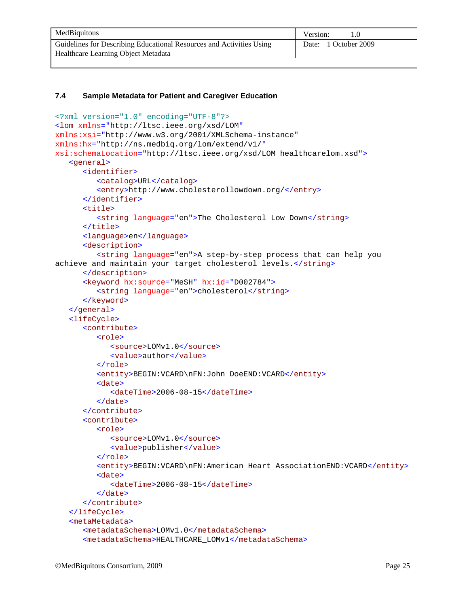| MedBiquitous                                                         | Version:             |
|----------------------------------------------------------------------|----------------------|
| Guidelines for Describing Educational Resources and Activities Using | Date: 1 October 2009 |
| Healthcare Learning Object Metadata                                  |                      |

#### **7.4 Sample Metadata for Patient and Caregiver Education**

```
<?xml version="1.0" encoding="UTF-8"?>
<lom xmlns="http://ltsc.ieee.org/xsd/LOM"
xmlns:xsi="http://www.w3.org/2001/XMLSchema-instance"
xmlns:hx="http://ns.medbiq.org/lom/extend/v1/"
xsi:schemaLocation="http://ltsc.ieee.org/xsd/LOM healthcarelom.xsd">
   <general>
      <identifier>
         <catalog>URL</catalog>
         <entry>http://www.cholesterollowdown.org/</entry>
      </identifier>
      <title>
         <string language="en">The Cholesterol Low Down</string>
      </title>
      <language>en</language>
      <description>
         <string language="en">A step-by-step process that can help you 
achieve and maintain your target cholesterol levels.</string>
      </description>
      <keyword hx:source="MeSH" hx:id="D002784">
         <string language="en">cholesterol</string>
      </keyword>
   </general>
   <lifeCycle>
      <contribute>
         <role>
            <source>LOMv1.0</source>
            <value>author</value>
         </role>
         <entity>BEGIN:VCARD\nFN:John DoeEND:VCARD</entity>
         <date>
            <dateTime>2006-08-15</dateTime>
         </date>
      </contribute>
      <contribute>
         <role>
            <source>LOMv1.0</source>
            <value>publisher</value>
         </role>
         <entity>BEGIN:VCARD\nFN:American Heart AssociationEND:VCARD</entity>
         <date>
            <dateTime>2006-08-15</dateTime>
         </date>
      </contribute>
   </lifeCycle>
   <metaMetadata>
      <metadataSchema>LOMv1.0</metadataSchema>
      <metadataSchema>HEALTHCARE_LOMv1</metadataSchema>
```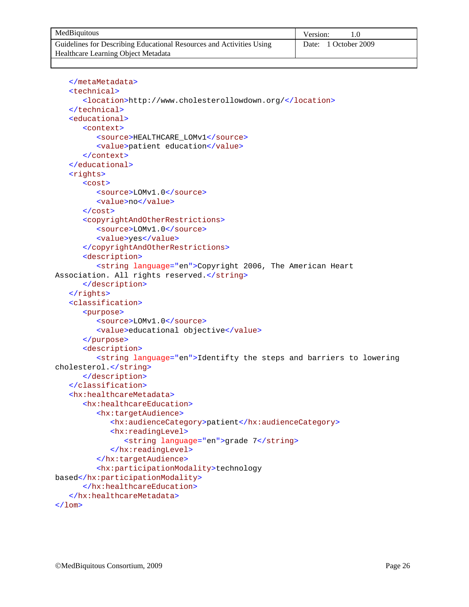| MedBiquitous                                                         | Version:             |
|----------------------------------------------------------------------|----------------------|
| Guidelines for Describing Educational Resources and Activities Using | Date: 1 October 2009 |
| Healthcare Learning Object Metadata                                  |                      |

```
</metaMetadata>
   <technical>
      <location>http://www.cholesterollowdown.org/</location>
   </technical>
   <educational>
      <context>
         <source>HEALTHCARE_LOMv1</source>
         <value>patient education</value>
      </context>
   </educational>
   <rights>
      <cost>
         <source>LOMv1.0</source>
         <value>no</value>
      </cost>
      <copyrightAndOtherRestrictions>
         <source>LOMv1.0</source>
         <value>yes</value>
      </copyrightAndOtherRestrictions>
      <description>
         <string language="en">Copyright 2006, The American Heart 
Association. All rights reserved.</string>
      </description>
   </rights>
   <classification>
      <purpose>
         <source>LOMv1.0</source>
         <value>educational objective</value>
      </purpose>
      <description>
         <string language="en">Identifty the steps and barriers to lowering 
cholesterol.</string>
      </description>
   </classification>
   <hx:healthcareMetadata>
      <hx:healthcareEducation>
         <hx:targetAudience>
            <hx:audienceCategory>patient</hx:audienceCategory>
            <hx:readingLevel>
               <string language="en">grade 7</string>
            </hx:readingLevel>
         </hx:targetAudience>
         <hx:participationModality>technology 
based</hx:participationModality>
      </hx:healthcareEducation>
   </hx:healthcareMetadata>
\langlelom\rangle
```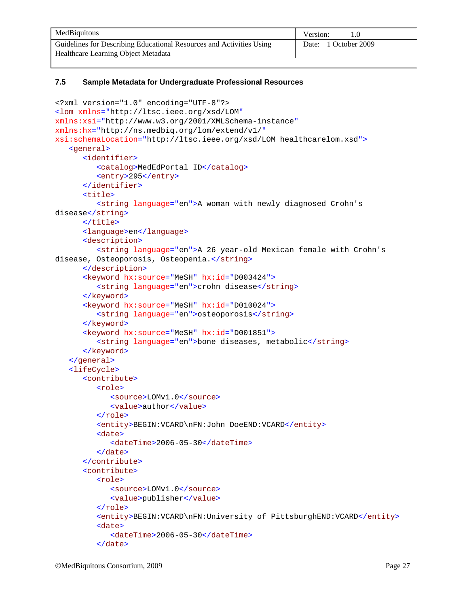| MedBiquitous                                                         | Version:             |
|----------------------------------------------------------------------|----------------------|
| Guidelines for Describing Educational Resources and Activities Using | Date: 1 October 2009 |
| Healthcare Learning Object Metadata                                  |                      |

#### **7.5 Sample Metadata for Undergraduate Professional Resources**

```
<?xml version="1.0" encoding="UTF-8"?>
<lom xmlns="http://ltsc.ieee.org/xsd/LOM"
xmlns:xsi="http://www.w3.org/2001/XMLSchema-instance"
xmlns:hx="http://ns.medbiq.org/lom/extend/v1/"
xsi:schemaLocation="http://ltsc.ieee.org/xsd/LOM healthcarelom.xsd">
   <general>
      <identifier>
         <catalog>MedEdPortal ID</catalog>
         <entry>295</entry>
      </identifier>
      <title>
         <string language="en">A woman with newly diagnosed Crohn's 
disease</string>
      </title>
      <language>en</language>
      <description>
         <string language="en">A 26 year-old Mexican female with Crohn's 
disease, Osteoporosis, Osteopenia.</string>
      </description>
      <keyword hx:source="MeSH" hx:id="D003424">
         <string language="en">crohn disease</string>
      </keyword>
      <keyword hx:source="MeSH" hx:id="D010024">
         <string language="en">osteoporosis</string>
      </keyword>
      <keyword hx:source="MeSH" hx:id="D001851">
         <string language="en">bone diseases, metabolic</string>
      </keyword>
   </general>
   <lifeCycle>
      <contribute>
         <role>
            <source>LOMv1.0</source>
            <value>author</value>
         </role>
         <entity>BEGIN:VCARD\nFN:John DoeEND:VCARD</entity>
         <date>
            <dateTime>2006-05-30</dateTime>
         </date>
      </contribute>
      <contribute>
         <role>
            <source>LOMv1.0</source>
            <value>publisher</value>
         </role>
         <entity>BEGIN:VCARD\nFN:University of PittsburghEND:VCARD</entity>
         <date>
            <dateTime>2006-05-30</dateTime>
         </date>
```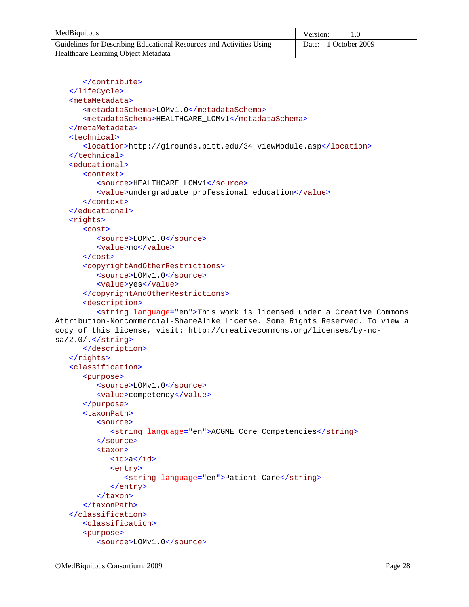| MedBiquitous                                                         | Version:             |
|----------------------------------------------------------------------|----------------------|
| Guidelines for Describing Educational Resources and Activities Using | Date: 1 October 2009 |
| Healthcare Learning Object Metadata                                  |                      |

```
</contribute>
   </lifeCycle>
   <metaMetadata>
      <metadataSchema>LOMv1.0</metadataSchema>
      <metadataSchema>HEALTHCARE_LOMv1</metadataSchema>
   </metaMetadata>
   <technical>
      <location>http://girounds.pitt.edu/34_viewModule.asp</location>
   </technical>
   <educational>
      <context>
         <source>HEALTHCARE_LOMv1</source>
         <value>undergraduate professional education</value>
      </context>
   </educational>
   <rights>
      <cost>
         <source>LOMv1.0</source>
         <value>no</value>
      </cost>
      <copyrightAndOtherRestrictions>
         <source>LOMv1.0</source>
         <value>yes</value>
      </copyrightAndOtherRestrictions>
      <description>
         <string language="en">This work is licensed under a Creative Commons 
Attribution-Noncommercial-ShareAlike License. Some Rights Reserved. To view a 
copy of this license, visit: http://creativecommons.org/licenses/by-nc-
sa/2.0/.</string>
      </description>
   </rights>
   <classification>
      <purpose>
         <source>LOMv1.0</source>
         <value>competency</value>
      </purpose>
      <taxonPath>
         <source>
            <string language="en">ACGME Core Competencies</string>
         </source>
         <taxon>
            <id>a</id>
            <entry>
               <string language="en">Patient Care</string>
            </entry>
         </taxon>
      </taxonPath>
   </classification>
      <classification>
      <purpose>
         <source>LOMv1.0</source>
```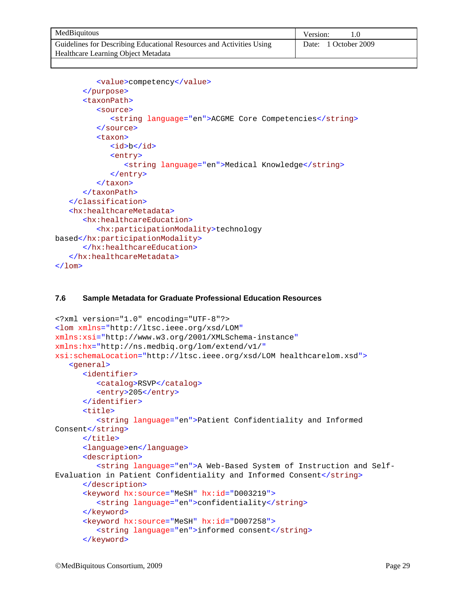| MedBiquitous                                                         | Version:             |
|----------------------------------------------------------------------|----------------------|
| Guidelines for Describing Educational Resources and Activities Using | Date: 1 October 2009 |
| Healthcare Learning Object Metadata                                  |                      |

```
<value>competency</value>
      </purpose>
      <taxonPath>
         <source>
            <string language="en">ACGME Core Competencies</string>
         </source>
         <taxon>
            <id>b</id>
            <entry>
                <string language="en">Medical Knowledge</string>
            </entry>
         </taxon>
      </taxonPath>
   </classification>
   <hx:healthcareMetadata>
      <hx:healthcareEducation>
         <hx:participationModality>technology 
based</hx:participationModality>
      </hx:healthcareEducation>
   </hx:healthcareMetadata>
\langlelom\rangle
```
#### **7.6 Sample Metadata for Graduate Professional Education Resources**

```
<?xml version="1.0" encoding="UTF-8"?>
<lom xmlns="http://ltsc.ieee.org/xsd/LOM"
xmlns:xsi="http://www.w3.org/2001/XMLSchema-instance"
xmlns:hx="http://ns.medbiq.org/lom/extend/v1/"
xsi:schemaLocation="http://ltsc.ieee.org/xsd/LOM healthcarelom.xsd">
   <general>
      <identifier>
         <catalog>RSVP</catalog>
         <entry>205</entry>
      </identifier>
      <title>
         <string language="en">Patient Confidentiality and Informed 
Consent</string>
      </title>
      <language>en</language>
      <description>
         <string language="en">A Web-Based System of Instruction and Self-
Evaluation in Patient Confidentiality and Informed Consent</string>
      </description>
      <keyword hx:source="MeSH" hx:id="D003219">
         <string language="en">confidentiality</string>
      </keyword>
      <keyword hx:source="MeSH" hx:id="D007258">
         <string language="en">informed consent</string>
      </keyword>
```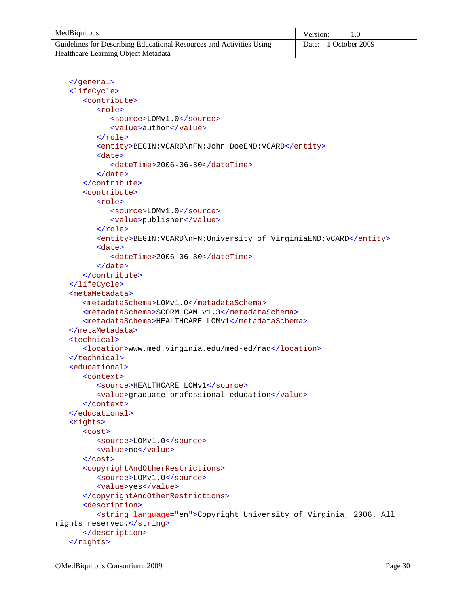| MedBiquitous                                                         | Version:             |
|----------------------------------------------------------------------|----------------------|
| Guidelines for Describing Educational Resources and Activities Using | Date: 1 October 2009 |
| Healthcare Learning Object Metadata                                  |                      |

```
</general>
   <lifeCycle>
      <contribute>
         <role>
            <source>LOMv1.0</source>
            <value>author</value>
         </role>
         <entity>BEGIN:VCARD\nFN:John DoeEND:VCARD</entity>
         <date>
            <dateTime>2006-06-30</dateTime>
         </date>
      </contribute>
      <contribute>
         <role>
            <source>LOMv1.0</source>
            <value>publisher</value>
         </role>
         <entity>BEGIN:VCARD\nFN:University of VirginiaEND:VCARD</entity>
         <date>
            <dateTime>2006-06-30</dateTime>
         </date>
      </contribute>
   </lifeCycle>
   <metaMetadata>
      <metadataSchema>LOMv1.0</metadataSchema>
      <metadataSchema>SCORM_CAM_v1.3</metadataSchema>
      <metadataSchema>HEALTHCARE_LOMv1</metadataSchema>
   </metaMetadata>
   <technical>
      <location>www.med.virginia.edu/med-ed/rad</location>
   </technical>
   <educational>
      <context>
         <source>HEALTHCARE_LOMv1</source>
         <value>graduate professional education</value>
      </context>
   </educational>
   <rights>
      <cost>
         <source>LOMv1.0</source>
         <value>no</value>
      </cost>
      <copyrightAndOtherRestrictions>
         <source>LOMv1.0</source>
         <value>yes</value>
      </copyrightAndOtherRestrictions>
      <description>
         <string language="en">Copyright University of Virginia, 2006. All 
rights reserved.</string>
      </description>
   </rights>
```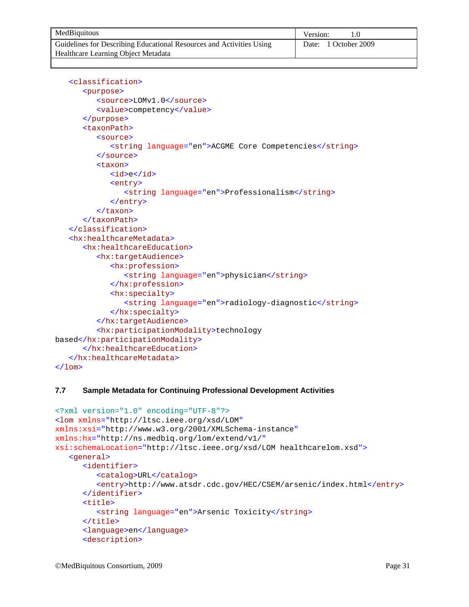| MedBiquitous                                                         | Version:             |
|----------------------------------------------------------------------|----------------------|
| Guidelines for Describing Educational Resources and Activities Using | Date: 1 October 2009 |
| Healthcare Learning Object Metadata                                  |                      |

```
<classification>
      <purpose>
         <source>LOMv1.0</source>
         <value>competency</value>
      </purpose>
      <taxonPath>
         <source>
            <string language="en">ACGME Core Competencies</string>
         </source>
         <taxon>
            <id>e</id>
            <entry>
               <string language="en">Professionalism</string>
            </entry>
         </taxon>
      </taxonPath>
   </classification>
   <hx:healthcareMetadata>
      <hx:healthcareEducation>
         <hx:targetAudience>
            <hx:profession>
                <string language="en">physician</string>
            </hx:profession>
            <hx:specialty>
                <string language="en">radiology-diagnostic</string>
            </hx:specialty>
         </hx:targetAudience>
         <hx:participationModality>technology 
based</hx:participationModality>
      </hx:healthcareEducation>
   </hx:healthcareMetadata>
\langlelom\rangle
```
#### **7.7 Sample Metadata for Continuing Professional Development Activities**

```
<?xml version="1.0" encoding="UTF-8"?>
<lom xmlns="http://ltsc.ieee.org/xsd/LOM"
xmlns:xsi="http://www.w3.org/2001/XMLSchema-instance"
xmlns:hx="http://ns.medbiq.org/lom/extend/v1/"
xsi:schemaLocation="http://ltsc.ieee.org/xsd/LOM healthcarelom.xsd">
   <general>
      <identifier>
         <catalog>URL</catalog>
         <entry>http://www.atsdr.cdc.gov/HEC/CSEM/arsenic/index.html</entry>
      </identifier>
      <title>
         <string language="en">Arsenic Toxicity</string>
      </title>
      <language>en</language>
      <description>
```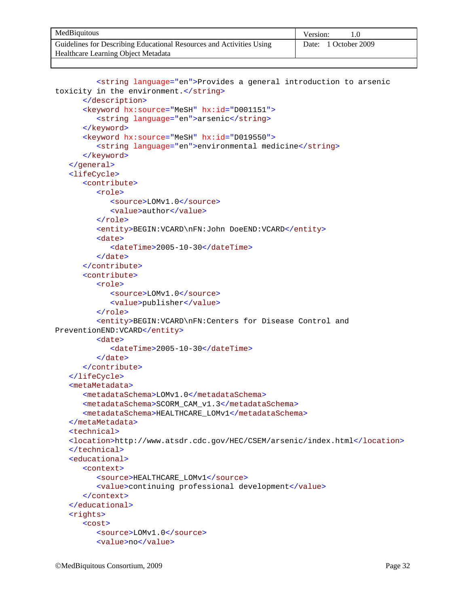| MedBiquitous                                                         | Version:             |
|----------------------------------------------------------------------|----------------------|
| Guidelines for Describing Educational Resources and Activities Using | Date: 1 October 2009 |
| Healthcare Learning Object Metadata                                  |                      |

```
<string language="en">Provides a general introduction to arsenic 
toxicity in the environment.</string>
      </description>
      <keyword hx:source="MeSH" hx:id="D001151">
         <string language="en">arsenic</string>
      </keyword>
      <keyword hx:source="MeSH" hx:id="D019550">
         <string language="en">environmental medicine</string>
      </keyword>
   </general>
   <lifeCycle>
      <contribute>
         <role>
            <source>LOMv1.0</source>
            <value>author</value>
         </role>
         <entity>BEGIN:VCARD\nFN:John DoeEND:VCARD</entity>
         <date>
            <dateTime>2005-10-30</dateTime>
         </date>
      </contribute>
      <contribute>
         <role>
            <source>LOMv1.0</source>
            <value>publisher</value>
         </role>
         <entity>BEGIN:VCARD\nFN:Centers for Disease Control and
PreventionEND:VCARD</entity>
         <date>
            <dateTime>2005-10-30</dateTime>
         </date>
      </contribute>
   </lifeCycle>
   <metaMetadata>
      <metadataSchema>LOMv1.0</metadataSchema>
      <metadataSchema>SCORM_CAM_v1.3</metadataSchema>
      <metadataSchema>HEALTHCARE_LOMv1</metadataSchema>
   </metaMetadata>
   <technical>
   <location>http://www.atsdr.cdc.gov/HEC/CSEM/arsenic/index.html</location>
   </technical>
   <educational>
      <context>
         <source>HEALTHCARE_LOMv1</source>
         <value>continuing professional development</value>
      </context>
   </educational>
   <rights>
      <cost>
         <source>LOMv1.0</source>
         <value>no</value>
```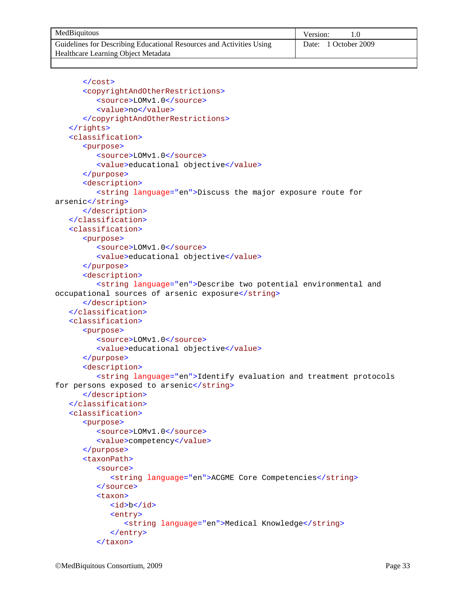| MedBiquitous                                                         | Version:             |
|----------------------------------------------------------------------|----------------------|
| Guidelines for Describing Educational Resources and Activities Using | Date: 1 October 2009 |
| Healthcare Learning Object Metadata                                  |                      |

```
</cost>
      <copyrightAndOtherRestrictions>
         <source>LOMv1.0</source>
         <value>no</value>
      </copyrightAndOtherRestrictions>
   </rights>
   <classification>
      <purpose>
         <source>LOMv1.0</source>
         <value>educational objective</value>
      </purpose>
      <description>
         <string language="en">Discuss the major exposure route for 
arsenic</string>
      </description>
   </classification>
   <classification>
      <purpose>
         <source>LOMv1.0</source>
         <value>educational objective</value>
      </purpose>
      <description>
         <string language="en">Describe two potential environmental and 
occupational sources of arsenic exposure</string>
      </description>
   </classification>
   <classification>
      <purpose>
         <source>LOMv1.0</source>
         <value>educational objective</value>
      </purpose>
      <description>
         <string language="en">Identify evaluation and treatment protocols 
for persons exposed to arsenic</string>
      </description>
   </classification>
   <classification>
      <purpose>
         <source>LOMv1.0</source>
         <value>competency</value>
      </purpose>
      <taxonPath>
         <source>
            <string language="en">ACGME Core Competencies</string>
         </source>
         <taxon>
            <id>b</id>
            <entry>
               <string language="en">Medical Knowledge</string>
            </entry>
         </taxon>
```